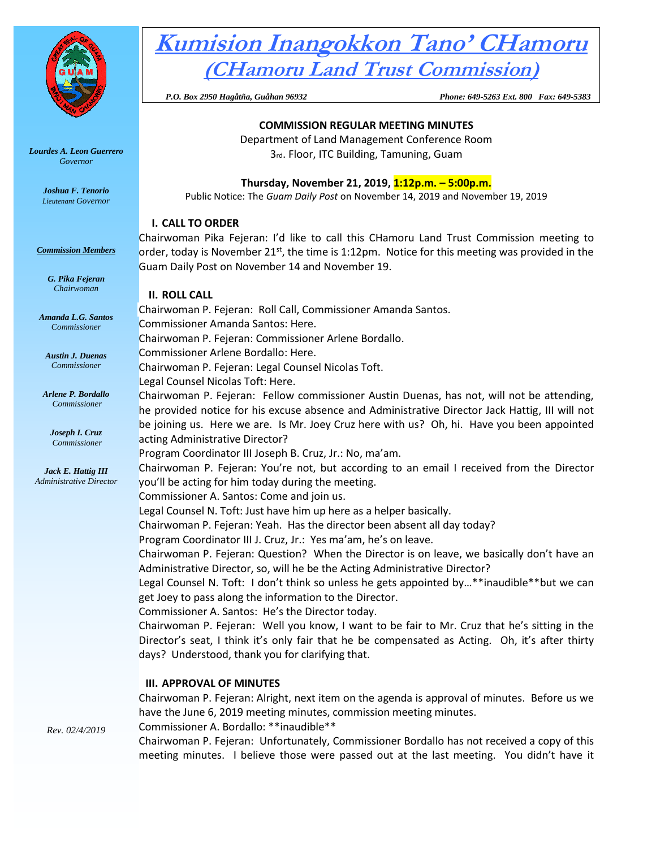

### *Lourdes A. Leon Guerrero Governor*

*Joshua F. Tenorio Lieutenant Governor* 

#### *Commission Members*

*G. Pika Fejeran Chairwoman*

*Amanda L.G. Santos Commissioner*

*Austin J. Duenas Commissioner*

*Arlene P. Bordallo Commissioner*

*Joseph I. Cruz Commissioner*

*Jack E. Hattig III Administrative Director*

# **Kumision Inangokkon Tano' CHamoru (CHamoru Land Trust Commission)**

 *P.O. Box 2950 Hagåtña, Guåhan 96932 Phone: 649-5263 Ext. 800 Fax: 649-5383*

### **COMMISSION REGULAR MEETING MINUTES**

Department of Land Management Conference Room 3rd. Floor, ITC Building, Tamuning, Guam

# **Thursday, November 21, 2019, 1:12p.m. – 5:00p.m.**

Public Notice: The *Guam Daily Post* on November 14, 2019 and November 19, 2019

# **I. CALL TO ORDER**

Chairwoman Pika Fejeran: I'd like to call this CHamoru Land Trust Commission meeting to order, today is November 21<sup>st</sup>, the time is 1:12pm. Notice for this meeting was provided in the Guam Daily Post on November 14 and November 19.

# **II. ROLL CALL**

Chairwoman P. Fejeran: Roll Call, Commissioner Amanda Santos. Commissioner Amanda Santos: Here. Chairwoman P. Fejeran: Commissioner Arlene Bordallo. Commissioner Arlene Bordallo: Here. Chairwoman P. Fejeran: Legal Counsel Nicolas Toft. Legal Counsel Nicolas Toft: Here. Chairwoman P. Fejeran: Fellow commissioner Austin Duenas, has not, will not be attending, he provided notice for his excuse absence and Administrative Director Jack Hattig, III will not be joining us. Here we are. Is Mr. Joey Cruz here with us? Oh, hi. Have you been appointed acting Administrative Director? Program Coordinator III Joseph B. Cruz, Jr.: No, ma'am. Chairwoman P. Fejeran: You're not, but according to an email I received from the Director you'll be acting for him today during the meeting. Commissioner A. Santos: Come and join us. Legal Counsel N. Toft: Just have him up here as a helper basically. Chairwoman P. Fejeran: Yeah. Has the director been absent all day today? Program Coordinator III J. Cruz, Jr.: Yes ma'am, he's on leave. Chairwoman P. Fejeran: Question? When the Director is on leave, we basically don't have an Administrative Director, so, will he be the Acting Administrative Director? Legal Counsel N. Toft: I don't think so unless he gets appointed by...\*\*inaudible\*\*but we can get Joey to pass along the information to the Director. Commissioner A. Santos: He's the Director today. Chairwoman P. Fejeran: Well you know, I want to be fair to Mr. Cruz that he's sitting in the Director's seat, I think it's only fair that he be compensated as Acting. Oh, it's after thirty days? Understood, thank you for clarifying that. **III. APPROVAL OF MINUTES** Chairwoman P. Fejeran: Alright, next item on the agenda is approval of minutes. Before us we

have the June 6, 2019 meeting minutes, commission meeting minutes.

Commissioner A. Bordallo: \*\*inaudible\*\*

Chairwoman P. Fejeran: Unfortunately, Commissioner Bordallo has not received a copy of this meeting minutes. I believe those were passed out at the last meeting. You didn't have it

*Rev. 02/4/2019*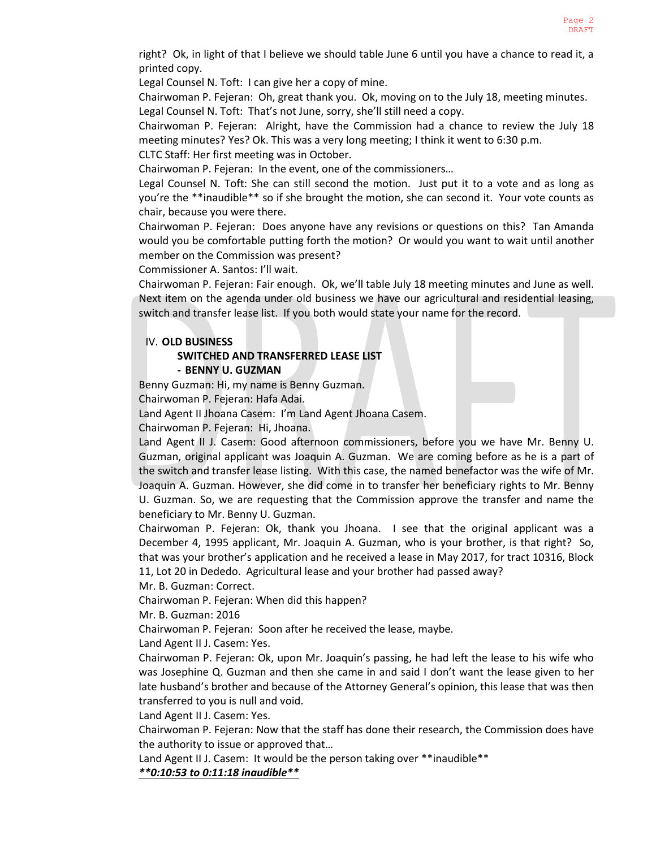right? Ok, in light of that I believe we should table June 6 until you have a chance to read it, a printed copy.

Legal Counsel N. Toft: I can give her a copy of mine.

Chairwoman P. Fejeran: Oh, great thank you. Ok, moving on to the July 18, meeting minutes. Legal Counsel N. Toft: That's not June, sorry, she'll still need a copy.

Chairwoman P. Fejeran: Alright, have the Commission had a chance to review the July 18 meeting minutes? Yes? Ok. This was a very long meeting; I think it went to 6:30 p.m.

CLTC Staff: Her first meeting was in October.

Chairwoman P. Fejeran: In the event, one of the commissioners…

Legal Counsel N. Toft: She can still second the motion. Just put it to a vote and as long as you're the \*\*inaudible\*\* so if she brought the motion, she can second it. Your vote counts as chair, because you were there.

Chairwoman P. Fejeran: Does anyone have any revisions or questions on this? Tan Amanda would you be comfortable putting forth the motion? Or would you want to wait until another member on the Commission was present?

Commissioner A. Santos: I'll wait.

Chairwoman P. Fejeran: Fair enough. Ok, we'll table July 18 meeting minutes and June as well. Next item on the agenda under old business we have our agricultural and residential leasing, switch and transfer lease list. If you both would state your name for the record.

### IV. **OLD BUSINESS**

# **SWITCHED AND TRANSFERRED LEASE LIST - BENNY U. GUZMAN**

Benny Guzman: Hi, my name is Benny Guzman.

Chairwoman P. Fejeran: Hafa Adai.

Land Agent II Jhoana Casem: I'm Land Agent Jhoana Casem.

Chairwoman P. Fejeran: Hi, Jhoana.

Land Agent II J. Casem: Good afternoon commissioners, before you we have Mr. Benny U. Guzman, original applicant was Joaquin A. Guzman. We are coming before as he is a part of the switch and transfer lease listing. With this case, the named benefactor was the wife of Mr. Joaquin A. Guzman. However, she did come in to transfer her beneficiary rights to Mr. Benny U. Guzman. So, we are requesting that the Commission approve the transfer and name the beneficiary to Mr. Benny U. Guzman.

Chairwoman P. Fejeran: Ok, thank you Jhoana. I see that the original applicant was a December 4, 1995 applicant, Mr. Joaquin A. Guzman, who is your brother, is that right? So, that was your brother's application and he received a lease in May 2017, for tract 10316, Block 11, Lot 20 in Dededo. Agricultural lease and your brother had passed away?

Mr. B. Guzman: Correct.

Chairwoman P. Fejeran: When did this happen?

Mr. B. Guzman: 2016

Chairwoman P. Fejeran: Soon after he received the lease, maybe.

Land Agent II J. Casem: Yes.

Chairwoman P. Fejeran: Ok, upon Mr. Joaquin's passing, he had left the lease to his wife who was Josephine Q. Guzman and then she came in and said I don't want the lease given to her late husband's brother and because of the Attorney General's opinion, this lease that was then transferred to you is null and void.

Land Agent II J. Casem: Yes.

Chairwoman P. Fejeran: Now that the staff has done their research, the Commission does have the authority to issue or approved that…

Land Agent II J. Casem: It would be the person taking over \*\*inaudible\*\* *\*\*0:10:53 to 0:11:18 inaudible\*\**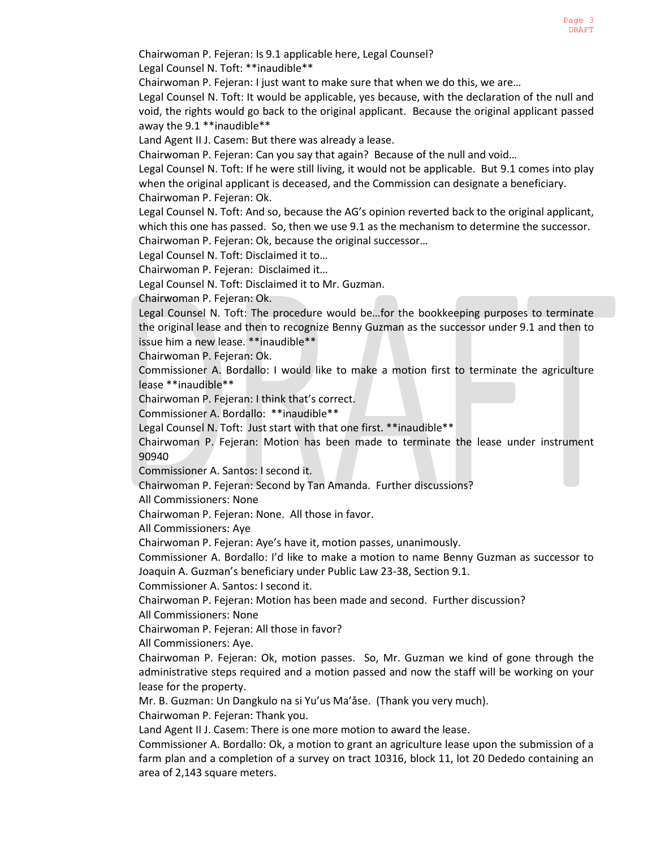Chairwoman P. Fejeran: Is 9.1 applicable here, Legal Counsel?

Legal Counsel N. Toft: \*\*inaudible\*\*

Chairwoman P. Fejeran: I just want to make sure that when we do this, we are…

Legal Counsel N. Toft: It would be applicable, yes because, with the declaration of the null and void, the rights would go back to the original applicant. Because the original applicant passed away the 9.1 \*\*inaudible\*\*

Land Agent II J. Casem: But there was already a lease.

Chairwoman P. Fejeran: Can you say that again? Because of the null and void…

Legal Counsel N. Toft: If he were still living, it would not be applicable. But 9.1 comes into play when the original applicant is deceased, and the Commission can designate a beneficiary. Chairwoman P. Fejeran: Ok.

Legal Counsel N. Toft: And so, because the AG's opinion reverted back to the original applicant, which this one has passed. So, then we use 9.1 as the mechanism to determine the successor. Chairwoman P. Fejeran: Ok, because the original successor…

Legal Counsel N. Toft: Disclaimed it to…

Chairwoman P. Fejeran: Disclaimed it…

Legal Counsel N. Toft: Disclaimed it to Mr. Guzman.

Chairwoman P. Fejeran: Ok.

Legal Counsel N. Toft: The procedure would be…for the bookkeeping purposes to terminate the original lease and then to recognize Benny Guzman as the successor under 9.1 and then to issue him a new lease. \*\*inaudible\*\*

Chairwoman P. Fejeran: Ok.

Commissioner A. Bordallo: I would like to make a motion first to terminate the agriculture lease \*\*inaudible\*\*

Chairwoman P. Fejeran: I think that's correct.

Commissioner A. Bordallo: \*\*inaudible\*\*

Legal Counsel N. Toft: Just start with that one first. \*\*inaudible\*\*

Chairwoman P. Fejeran: Motion has been made to terminate the lease under instrument 90940

Commissioner A. Santos: I second it.

Chairwoman P. Fejeran: Second by Tan Amanda. Further discussions?

All Commissioners: None

Chairwoman P. Fejeran: None. All those in favor.

All Commissioners: Aye

Chairwoman P. Fejeran: Aye's have it, motion passes, unanimously.

Commissioner A. Bordallo: I'd like to make a motion to name Benny Guzman as successor to Joaquin A. Guzman's beneficiary under Public Law 23-38, Section 9.1.

Commissioner A. Santos: I second it.

Chairwoman P. Fejeran: Motion has been made and second. Further discussion?

All Commissioners: None

Chairwoman P. Fejeran: All those in favor?

All Commissioners: Aye.

Chairwoman P. Fejeran: Ok, motion passes. So, Mr. Guzman we kind of gone through the administrative steps required and a motion passed and now the staff will be working on your lease for the property.

Mr. B. Guzman: Un Dangkulo na si Yu'us Ma'åse. (Thank you very much).

Chairwoman P. Fejeran: Thank you.

Land Agent II J. Casem: There is one more motion to award the lease.

Commissioner A. Bordallo: Ok, a motion to grant an agriculture lease upon the submission of a farm plan and a completion of a survey on tract 10316, block 11, lot 20 Dededo containing an area of 2,143 square meters.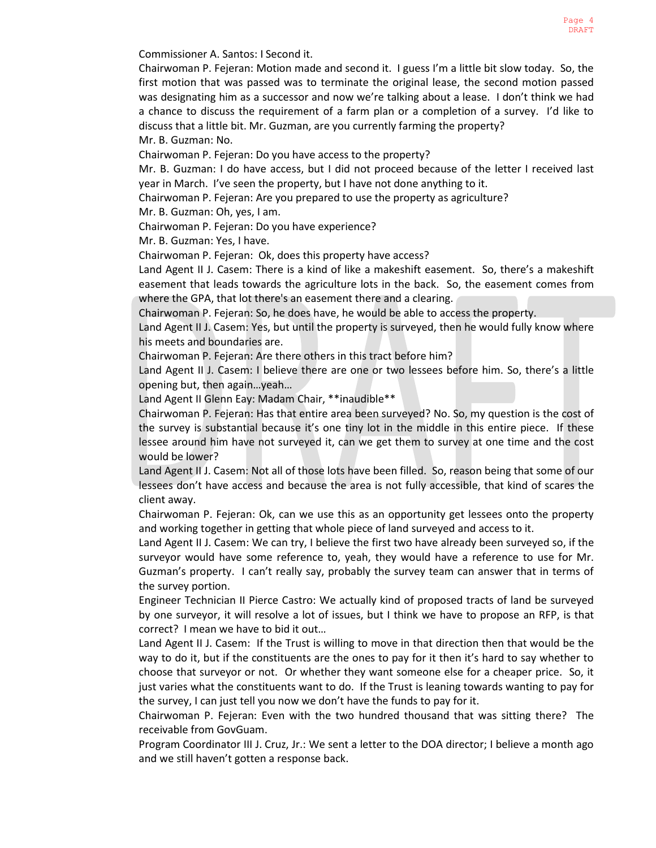Commissioner A. Santos: I Second it.

Chairwoman P. Fejeran: Motion made and second it. I guess I'm a little bit slow today. So, the first motion that was passed was to terminate the original lease, the second motion passed was designating him as a successor and now we're talking about a lease. I don't think we had a chance to discuss the requirement of a farm plan or a completion of a survey. I'd like to discuss that a little bit. Mr. Guzman, are you currently farming the property? Mr. B. Guzman: No.

Chairwoman P. Fejeran: Do you have access to the property?

Mr. B. Guzman: I do have access, but I did not proceed because of the letter I received last year in March. I've seen the property, but I have not done anything to it.

Chairwoman P. Fejeran: Are you prepared to use the property as agriculture?

Mr. B. Guzman: Oh, yes, I am.

Chairwoman P. Fejeran: Do you have experience?

Mr. B. Guzman: Yes, I have.

Chairwoman P. Fejeran: Ok, does this property have access?

Land Agent II J. Casem: There is a kind of like a makeshift easement. So, there's a makeshift easement that leads towards the agriculture lots in the back. So, the easement comes from where the GPA, that lot there's an easement there and a clearing.

Chairwoman P. Fejeran: So, he does have, he would be able to access the property.

Land Agent II J. Casem: Yes, but until the property is surveyed, then he would fully know where his meets and boundaries are.

Chairwoman P. Fejeran: Are there others in this tract before him?

Land Agent II J. Casem: I believe there are one or two lessees before him. So, there's a little opening but, then again…yeah…

Land Agent II Glenn Eay: Madam Chair, \*\*inaudible\*\*

Chairwoman P. Fejeran: Has that entire area been surveyed? No. So, my question is the cost of the survey is substantial because it's one tiny lot in the middle in this entire piece. If these lessee around him have not surveyed it, can we get them to survey at one time and the cost would be lower?

Land Agent II J. Casem: Not all of those lots have been filled. So, reason being that some of our lessees don't have access and because the area is not fully accessible, that kind of scares the client away.

Chairwoman P. Fejeran: Ok, can we use this as an opportunity get lessees onto the property and working together in getting that whole piece of land surveyed and access to it.

Land Agent II J. Casem: We can try, I believe the first two have already been surveyed so, if the surveyor would have some reference to, yeah, they would have a reference to use for Mr. Guzman's property. I can't really say, probably the survey team can answer that in terms of the survey portion.

Engineer Technician II Pierce Castro: We actually kind of proposed tracts of land be surveyed by one surveyor, it will resolve a lot of issues, but I think we have to propose an RFP, is that correct? I mean we have to bid it out…

Land Agent II J. Casem: If the Trust is willing to move in that direction then that would be the way to do it, but if the constituents are the ones to pay for it then it's hard to say whether to choose that surveyor or not. Or whether they want someone else for a cheaper price. So, it just varies what the constituents want to do. If the Trust is leaning towards wanting to pay for the survey, I can just tell you now we don't have the funds to pay for it.

Chairwoman P. Fejeran: Even with the two hundred thousand that was sitting there? The receivable from GovGuam.

Program Coordinator III J. Cruz, Jr.: We sent a letter to the DOA director; I believe a month ago and we still haven't gotten a response back.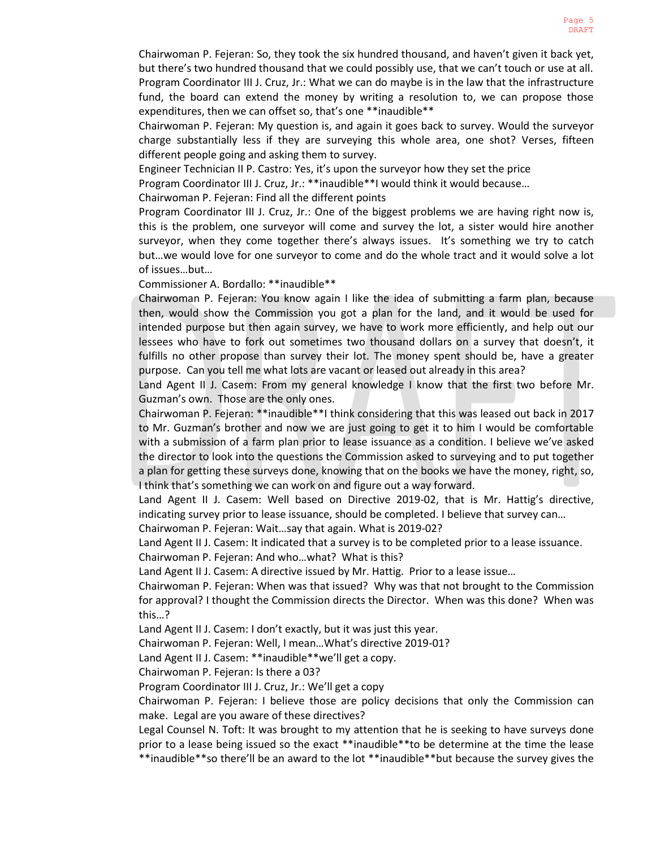Chairwoman P. Fejeran: So, they took the six hundred thousand, and haven't given it back yet, but there's two hundred thousand that we could possibly use, that we can't touch or use at all. Program Coordinator III J. Cruz, Jr.: What we can do maybe is in the law that the infrastructure fund, the board can extend the money by writing a resolution to, we can propose those expenditures, then we can offset so, that's one \*\*inaudible\*\*

Chairwoman P. Fejeran: My question is, and again it goes back to survey. Would the surveyor charge substantially less if they are surveying this whole area, one shot? Verses, fifteen different people going and asking them to survey.

Engineer Technician II P. Castro: Yes, it's upon the surveyor how they set the price

Program Coordinator III J. Cruz, Jr.: \*\*inaudible\*\*I would think it would because…

Chairwoman P. Fejeran: Find all the different points

Program Coordinator III J. Cruz, Jr.: One of the biggest problems we are having right now is, this is the problem, one surveyor will come and survey the lot, a sister would hire another surveyor, when they come together there's always issues. It's something we try to catch but…we would love for one surveyor to come and do the whole tract and it would solve a lot of issues…but…

Commissioner A. Bordallo: \*\*inaudible\*\*

Chairwoman P. Fejeran: You know again I like the idea of submitting a farm plan, because then, would show the Commission you got a plan for the land, and it would be used for intended purpose but then again survey, we have to work more efficiently, and help out our lessees who have to fork out sometimes two thousand dollars on a survey that doesn't, it fulfills no other propose than survey their lot. The money spent should be, have a greater purpose. Can you tell me what lots are vacant or leased out already in this area?

Land Agent II J. Casem: From my general knowledge I know that the first two before Mr. Guzman's own. Those are the only ones.

Chairwoman P. Fejeran: \*\*inaudible\*\*I think considering that this was leased out back in 2017 to Mr. Guzman's brother and now we are just going to get it to him I would be comfortable with a submission of a farm plan prior to lease issuance as a condition. I believe we've asked the director to look into the questions the Commission asked to surveying and to put together a plan for getting these surveys done, knowing that on the books we have the money, right, so, I think that's something we can work on and figure out a way forward.

Land Agent II J. Casem: Well based on Directive 2019-02, that is Mr. Hattig's directive, indicating survey prior to lease issuance, should be completed. I believe that survey can…

Chairwoman P. Fejeran: Wait…say that again. What is 2019-02?

Land Agent II J. Casem: It indicated that a survey is to be completed prior to a lease issuance.

Chairwoman P. Fejeran: And who…what? What is this?

Land Agent II J. Casem: A directive issued by Mr. Hattig. Prior to a lease issue…

Chairwoman P. Fejeran: When was that issued? Why was that not brought to the Commission for approval? I thought the Commission directs the Director. When was this done? When was this…?

Land Agent II J. Casem: I don't exactly, but it was just this year.

Chairwoman P. Fejeran: Well, I mean…What's directive 2019-01?

Land Agent II J. Casem: \*\*inaudible\*\*we'll get a copy.

Chairwoman P. Fejeran: Is there a 03?

Program Coordinator III J. Cruz, Jr.: We'll get a copy

Chairwoman P. Fejeran: I believe those are policy decisions that only the Commission can make. Legal are you aware of these directives?

Legal Counsel N. Toft: It was brought to my attention that he is seeking to have surveys done prior to a lease being issued so the exact \*\*inaudible\*\*to be determine at the time the lease \*\*inaudible\*\*so there'll be an award to the lot \*\*inaudible\*\*but because the survey gives the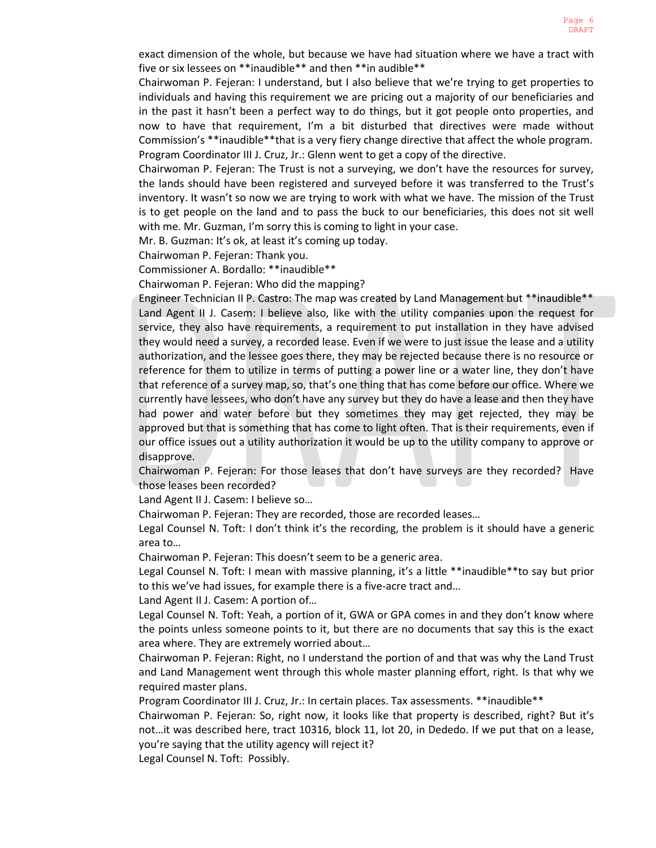exact dimension of the whole, but because we have had situation where we have a tract with five or six lessees on \*\*inaudible\*\* and then \*\*in audible\*\*

Chairwoman P. Fejeran: I understand, but I also believe that we're trying to get properties to individuals and having this requirement we are pricing out a majority of our beneficiaries and in the past it hasn't been a perfect way to do things, but it got people onto properties, and now to have that requirement, I'm a bit disturbed that directives were made without Commission's \*\*inaudible\*\*that is a very fiery change directive that affect the whole program. Program Coordinator III J. Cruz, Jr.: Glenn went to get a copy of the directive.

Chairwoman P. Fejeran: The Trust is not a surveying, we don't have the resources for survey, the lands should have been registered and surveyed before it was transferred to the Trust's inventory. It wasn't so now we are trying to work with what we have. The mission of the Trust is to get people on the land and to pass the buck to our beneficiaries, this does not sit well with me. Mr. Guzman, I'm sorry this is coming to light in your case.

Mr. B. Guzman: It's ok, at least it's coming up today.

Chairwoman P. Fejeran: Thank you.

Commissioner A. Bordallo: \*\*inaudible\*\*

Chairwoman P. Fejeran: Who did the mapping?

Engineer Technician II P. Castro: The map was created by Land Management but \*\*inaudible\*\* Land Agent II J. Casem: I believe also, like with the utility companies upon the request for service, they also have requirements, a requirement to put installation in they have advised they would need a survey, a recorded lease. Even if we were to just issue the lease and a utility authorization, and the lessee goes there, they may be rejected because there is no resource or reference for them to utilize in terms of putting a power line or a water line, they don't have that reference of a survey map, so, that's one thing that has come before our office. Where we currently have lessees, who don't have any survey but they do have a lease and then they have had power and water before but they sometimes they may get rejected, they may be approved but that is something that has come to light often. That is their requirements, even if our office issues out a utility authorization it would be up to the utility company to approve or disapprove.

Chairwoman P. Fejeran: For those leases that don't have surveys are they recorded? Have those leases been recorded?

Land Agent II J. Casem: I believe so…

Chairwoman P. Fejeran: They are recorded, those are recorded leases…

Legal Counsel N. Toft: I don't think it's the recording, the problem is it should have a generic area to…

Chairwoman P. Fejeran: This doesn't seem to be a generic area.

Legal Counsel N. Toft: I mean with massive planning, it's a little \*\*inaudible\*\*to say but prior to this we've had issues, for example there is a five-acre tract and…

Land Agent II J. Casem: A portion of…

Legal Counsel N. Toft: Yeah, a portion of it, GWA or GPA comes in and they don't know where the points unless someone points to it, but there are no documents that say this is the exact area where. They are extremely worried about…

Chairwoman P. Fejeran: Right, no I understand the portion of and that was why the Land Trust and Land Management went through this whole master planning effort, right. Is that why we required master plans.

Program Coordinator III J. Cruz, Jr.: In certain places. Tax assessments. \*\*inaudible\*\*

Chairwoman P. Fejeran: So, right now, it looks like that property is described, right? But it's not…it was described here, tract 10316, block 11, lot 20, in Dededo. If we put that on a lease, you're saying that the utility agency will reject it?

Legal Counsel N. Toft: Possibly.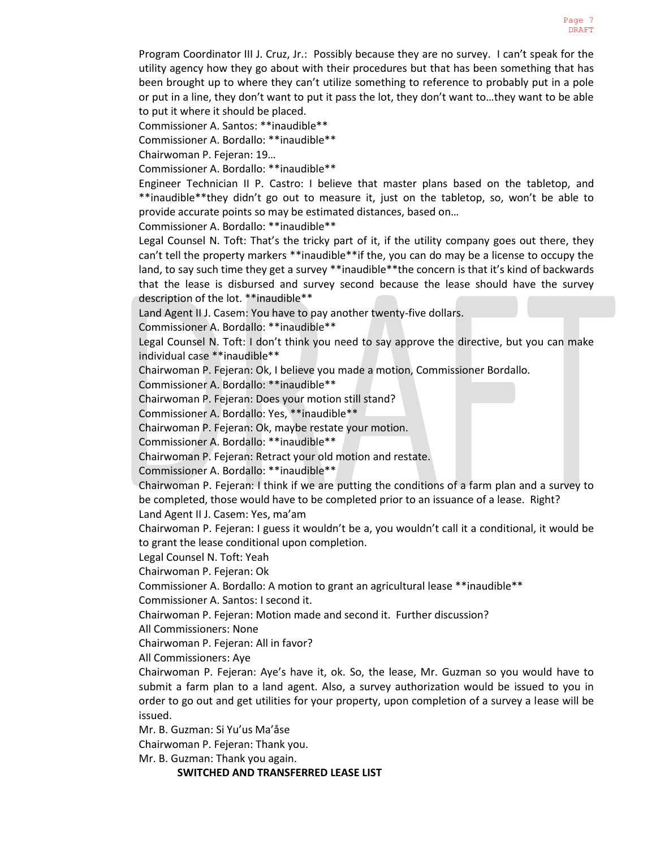Program Coordinator III J. Cruz, Jr.: Possibly because they are no survey. I can't speak for the utility agency how they go about with their procedures but that has been something that has been brought up to where they can't utilize something to reference to probably put in a pole or put in a line, they don't want to put it pass the lot, they don't want to…they want to be able to put it where it should be placed.

Commissioner A. Santos: \*\*inaudible\*\*

Commissioner A. Bordallo: \*\*inaudible\*\*

Chairwoman P. Fejeran: 19…

Commissioner A. Bordallo: \*\*inaudible\*\*

Engineer Technician II P. Castro: I believe that master plans based on the tabletop, and \*\*inaudible\*\*they didn't go out to measure it, just on the tabletop, so, won't be able to provide accurate points so may be estimated distances, based on…

Commissioner A. Bordallo: \*\*inaudible\*\*

Legal Counsel N. Toft: That's the tricky part of it, if the utility company goes out there, they can't tell the property markers \*\*inaudible\*\*if the, you can do may be a license to occupy the land, to say such time they get a survey \*\*inaudible\*\*the concern is that it's kind of backwards that the lease is disbursed and survey second because the lease should have the survey description of the lot. \*\*inaudible\*\*

Land Agent II J. Casem: You have to pay another twenty-five dollars.

Commissioner A. Bordallo: \*\*inaudible\*\*

Legal Counsel N. Toft: I don't think you need to say approve the directive, but you can make individual case \*\*inaudible\*\*

Chairwoman P. Fejeran: Ok, I believe you made a motion, Commissioner Bordallo.

Commissioner A. Bordallo: \*\*inaudible\*\*

Chairwoman P. Fejeran: Does your motion still stand?

Commissioner A. Bordallo: Yes, \*\*inaudible\*\*

Chairwoman P. Fejeran: Ok, maybe restate your motion.

Commissioner A. Bordallo: \*\*inaudible\*\*

Chairwoman P. Fejeran: Retract your old motion and restate.

Commissioner A. Bordallo: \*\*inaudible\*\*

Chairwoman P. Fejeran: I think if we are putting the conditions of a farm plan and a survey to be completed, those would have to be completed prior to an issuance of a lease. Right?

Land Agent II J. Casem: Yes, ma'am

Chairwoman P. Fejeran: I guess it wouldn't be a, you wouldn't call it a conditional, it would be to grant the lease conditional upon completion.

Legal Counsel N. Toft: Yeah

Chairwoman P. Fejeran: Ok

Commissioner A. Bordallo: A motion to grant an agricultural lease \*\*inaudible\*\*

Commissioner A. Santos: I second it.

Chairwoman P. Fejeran: Motion made and second it. Further discussion?

All Commissioners: None

Chairwoman P. Fejeran: All in favor?

All Commissioners: Aye

Chairwoman P. Fejeran: Aye's have it, ok. So, the lease, Mr. Guzman so you would have to submit a farm plan to a land agent. Also, a survey authorization would be issued to you in order to go out and get utilities for your property, upon completion of a survey a lease will be issued.

Mr. B. Guzman: Si Yu'us Ma'åse

Chairwoman P. Fejeran: Thank you.

Mr. B. Guzman: Thank you again.

**SWITCHED AND TRANSFERRED LEASE LIST**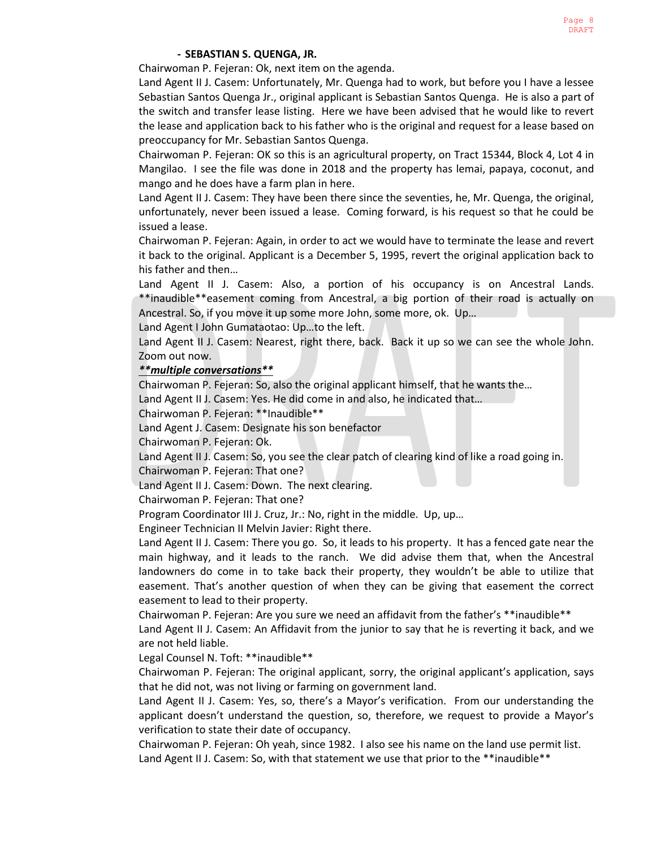### **- SEBASTIAN S. QUENGA, JR.**

Chairwoman P. Fejeran: Ok, next item on the agenda.

Land Agent II J. Casem: Unfortunately, Mr. Quenga had to work, but before you I have a lessee Sebastian Santos Quenga Jr., original applicant is Sebastian Santos Quenga. He is also a part of the switch and transfer lease listing. Here we have been advised that he would like to revert the lease and application back to his father who is the original and request for a lease based on preoccupancy for Mr. Sebastian Santos Quenga.

Chairwoman P. Fejeran: OK so this is an agricultural property, on Tract 15344, Block 4, Lot 4 in Mangilao. I see the file was done in 2018 and the property has lemai, papaya, coconut, and mango and he does have a farm plan in here.

Land Agent II J. Casem: They have been there since the seventies, he, Mr. Quenga, the original, unfortunately, never been issued a lease. Coming forward, is his request so that he could be issued a lease.

Chairwoman P. Fejeran: Again, in order to act we would have to terminate the lease and revert it back to the original. Applicant is a December 5, 1995, revert the original application back to his father and then…

Land Agent II J. Casem: Also, a portion of his occupancy is on Ancestral Lands. \*\*inaudible\*\*easement coming from Ancestral, a big portion of their road is actually on Ancestral. So, if you move it up some more John, some more, ok. Up…

Land Agent I John Gumataotao: Up…to the left.

Land Agent II J. Casem: Nearest, right there, back. Back it up so we can see the whole John. Zoom out now.

### *\*\*multiple conversations\*\**

Chairwoman P. Fejeran: So, also the original applicant himself, that he wants the…

Land Agent II J. Casem: Yes. He did come in and also, he indicated that…

Chairwoman P. Fejeran: \*\*Inaudible\*\*

Land Agent J. Casem: Designate his son benefactor

Chairwoman P. Fejeran: Ok.

Land Agent II J. Casem: So, you see the clear patch of clearing kind of like a road going in.

Chairwoman P. Fejeran: That one?

Land Agent II J. Casem: Down. The next clearing.

Chairwoman P. Fejeran: That one?

Program Coordinator III J. Cruz, Jr.: No, right in the middle. Up, up…

Engineer Technician II Melvin Javier: Right there.

Land Agent II J. Casem: There you go. So, it leads to his property. It has a fenced gate near the main highway, and it leads to the ranch. We did advise them that, when the Ancestral landowners do come in to take back their property, they wouldn't be able to utilize that easement. That's another question of when they can be giving that easement the correct easement to lead to their property.

Chairwoman P. Fejeran: Are you sure we need an affidavit from the father's \*\*inaudible\*\*

Land Agent II J. Casem: An Affidavit from the junior to say that he is reverting it back, and we are not held liable.

Legal Counsel N. Toft: \*\*inaudible\*\*

Chairwoman P. Fejeran: The original applicant, sorry, the original applicant's application, says that he did not, was not living or farming on government land.

Land Agent II J. Casem: Yes, so, there's a Mayor's verification. From our understanding the applicant doesn't understand the question, so, therefore, we request to provide a Mayor's verification to state their date of occupancy.

Chairwoman P. Fejeran: Oh yeah, since 1982. I also see his name on the land use permit list. Land Agent II J. Casem: So, with that statement we use that prior to the \*\*inaudible\*\*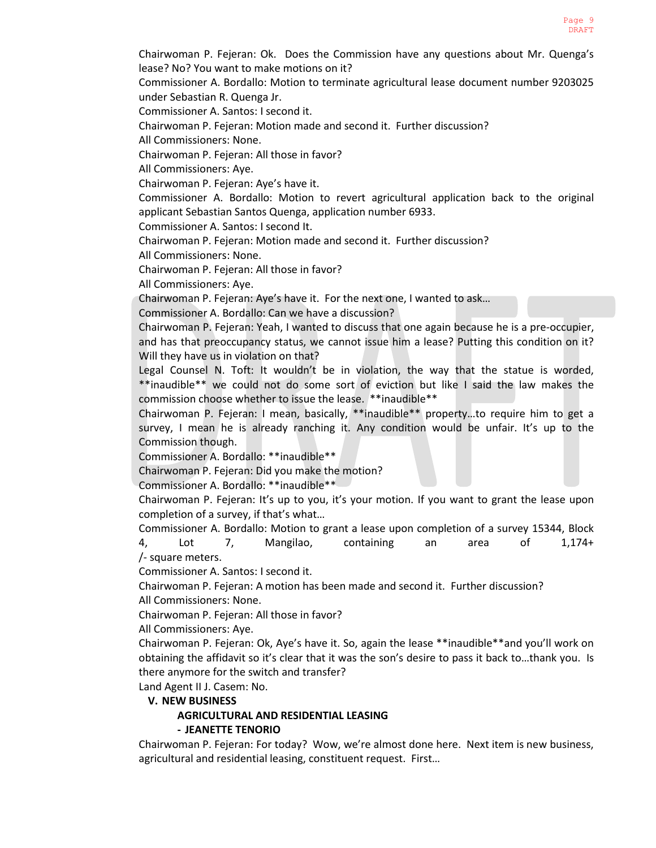Chairwoman P. Fejeran: Ok. Does the Commission have any questions about Mr. Quenga's lease? No? You want to make motions on it?

Commissioner A. Bordallo: Motion to terminate agricultural lease document number 9203025 under Sebastian R. Quenga Jr.

Commissioner A. Santos: I second it.

Chairwoman P. Fejeran: Motion made and second it. Further discussion?

All Commissioners: None.

Chairwoman P. Fejeran: All those in favor?

All Commissioners: Aye.

Chairwoman P. Fejeran: Aye's have it.

Commissioner A. Bordallo: Motion to revert agricultural application back to the original applicant Sebastian Santos Quenga, application number 6933.

Commissioner A. Santos: I second It.

Chairwoman P. Fejeran: Motion made and second it. Further discussion?

All Commissioners: None.

Chairwoman P. Fejeran: All those in favor?

All Commissioners: Aye.

Chairwoman P. Fejeran: Aye's have it. For the next one, I wanted to ask…

Commissioner A. Bordallo: Can we have a discussion?

Chairwoman P. Fejeran: Yeah, I wanted to discuss that one again because he is a pre-occupier, and has that preoccupancy status, we cannot issue him a lease? Putting this condition on it? Will they have us in violation on that?

Legal Counsel N. Toft: It wouldn't be in violation, the way that the statue is worded, \*\*inaudible\*\* we could not do some sort of eviction but like I said the law makes the commission choose whether to issue the lease. \*\*inaudible\*\*

Chairwoman P. Fejeran: I mean, basically, \*\*inaudible\*\* property…to require him to get a survey, I mean he is already ranching it. Any condition would be unfair. It's up to the Commission though.

Commissioner A. Bordallo: \*\*inaudible\*\*

Chairwoman P. Fejeran: Did you make the motion?

Commissioner A. Bordallo: \*\*inaudible\*\*

Chairwoman P. Fejeran: It's up to you, it's your motion. If you want to grant the lease upon completion of a survey, if that's what…

Commissioner A. Bordallo: Motion to grant a lease upon completion of a survey 15344, Block 4, Lot 7, Mangilao, containing an area of 1,174+ /- square meters.

Commissioner A. Santos: I second it.

Chairwoman P. Fejeran: A motion has been made and second it. Further discussion? All Commissioners: None.

Chairwoman P. Fejeran: All those in favor?

All Commissioners: Aye.

Chairwoman P. Fejeran: Ok, Aye's have it. So, again the lease \*\*inaudible\*\*and you'll work on obtaining the affidavit so it's clear that it was the son's desire to pass it back to...thank you. Is there anymore for the switch and transfer?

Land Agent II J. Casem: No.

### **V. NEW BUSINESS**

### **AGRICULTURAL AND RESIDENTIAL LEASING - JEANETTE TENORIO**

Chairwoman P. Fejeran: For today? Wow, we're almost done here. Next item is new business, agricultural and residential leasing, constituent request. First…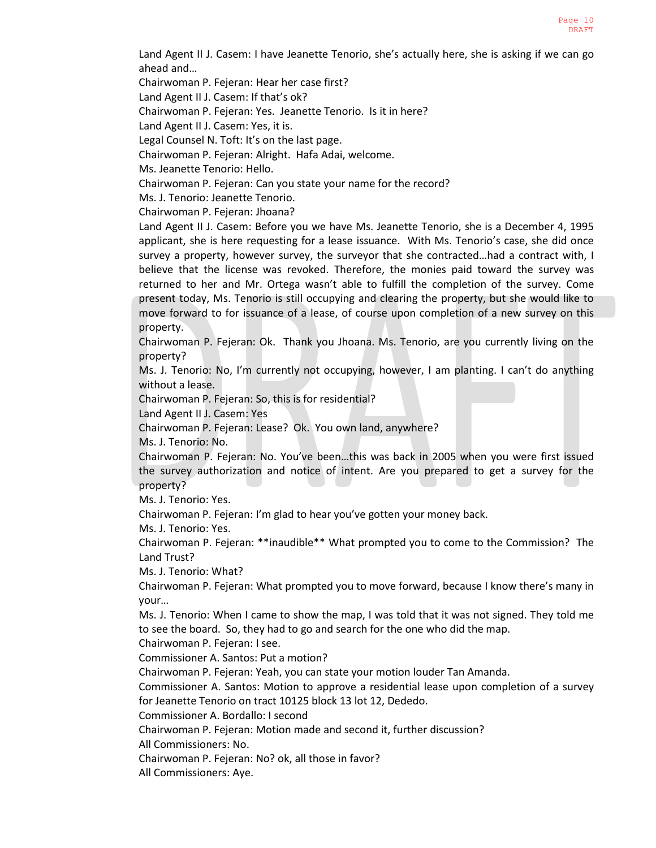Land Agent II J. Casem: I have Jeanette Tenorio, she's actually here, she is asking if we can go ahead and…

Chairwoman P. Fejeran: Hear her case first?

Land Agent II J. Casem: If that's ok?

Chairwoman P. Fejeran: Yes. Jeanette Tenorio. Is it in here?

Land Agent II J. Casem: Yes, it is.

Legal Counsel N. Toft: It's on the last page.

Chairwoman P. Fejeran: Alright. Hafa Adai, welcome.

Ms. Jeanette Tenorio: Hello.

Chairwoman P. Fejeran: Can you state your name for the record?

Ms. J. Tenorio: Jeanette Tenorio.

Chairwoman P. Fejeran: Jhoana?

Land Agent II J. Casem: Before you we have Ms. Jeanette Tenorio, she is a December 4, 1995 applicant, she is here requesting for a lease issuance. With Ms. Tenorio's case, she did once survey a property, however survey, the surveyor that she contracted…had a contract with, I believe that the license was revoked. Therefore, the monies paid toward the survey was returned to her and Mr. Ortega wasn't able to fulfill the completion of the survey. Come present today, Ms. Tenorio is still occupying and clearing the property, but she would like to move forward to for issuance of a lease, of course upon completion of a new survey on this property.

Chairwoman P. Fejeran: Ok. Thank you Jhoana. Ms. Tenorio, are you currently living on the property?

Ms. J. Tenorio: No, I'm currently not occupying, however, I am planting. I can't do anything without a lease.

Chairwoman P. Fejeran: So, this is for residential?

Land Agent II J. Casem: Yes

Chairwoman P. Fejeran: Lease? Ok. You own land, anywhere?

Ms. J. Tenorio: No.

Chairwoman P. Fejeran: No. You've been…this was back in 2005 when you were first issued the survey authorization and notice of intent. Are you prepared to get a survey for the property?

Ms. J. Tenorio: Yes.

Chairwoman P. Fejeran: I'm glad to hear you've gotten your money back.

Ms. J. Tenorio: Yes.

Chairwoman P. Fejeran: \*\*inaudible\*\* What prompted you to come to the Commission? The Land Trust?

Ms. J. Tenorio: What?

Chairwoman P. Fejeran: What prompted you to move forward, because I know there's many in your…

Ms. J. Tenorio: When I came to show the map, I was told that it was not signed. They told me to see the board. So, they had to go and search for the one who did the map.

Chairwoman P. Fejeran: I see.

Commissioner A. Santos: Put a motion?

Chairwoman P. Fejeran: Yeah, you can state your motion louder Tan Amanda.

Commissioner A. Santos: Motion to approve a residential lease upon completion of a survey for Jeanette Tenorio on tract 10125 block 13 lot 12, Dededo.

Commissioner A. Bordallo: I second

Chairwoman P. Fejeran: Motion made and second it, further discussion?

All Commissioners: No.

Chairwoman P. Fejeran: No? ok, all those in favor?

All Commissioners: Aye.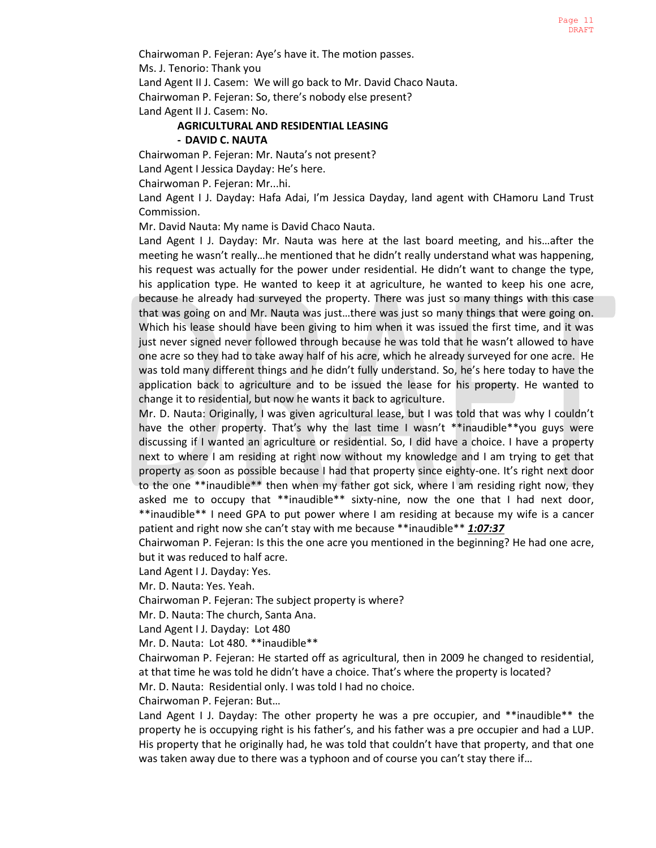Chairwoman P. Fejeran: Aye's have it. The motion passes.

Ms. J. Tenorio: Thank you

Land Agent II J. Casem: We will go back to Mr. David Chaco Nauta.

Chairwoman P. Fejeran: So, there's nobody else present?

Land Agent II J. Casem: No.

# **AGRICULTURAL AND RESIDENTIAL LEASING**

# **- DAVID C. NAUTA**

Chairwoman P. Fejeran: Mr. Nauta's not present?

Land Agent I Jessica Dayday: He's here.

Chairwoman P. Fejeran: Mr...hi.

Land Agent I J. Dayday: Hafa Adai, I'm Jessica Dayday, land agent with CHamoru Land Trust Commission.

Mr. David Nauta: My name is David Chaco Nauta.

Land Agent I J. Dayday: Mr. Nauta was here at the last board meeting, and his…after the meeting he wasn't really…he mentioned that he didn't really understand what was happening, his request was actually for the power under residential. He didn't want to change the type, his application type. He wanted to keep it at agriculture, he wanted to keep his one acre, because he already had surveyed the property. There was just so many things with this case that was going on and Mr. Nauta was just…there was just so many things that were going on. Which his lease should have been giving to him when it was issued the first time, and it was just never signed never followed through because he was told that he wasn't allowed to have one acre so they had to take away half of his acre, which he already surveyed for one acre. He was told many different things and he didn't fully understand. So, he's here today to have the application back to agriculture and to be issued the lease for his property. He wanted to change it to residential, but now he wants it back to agriculture.

Mr. D. Nauta: Originally, I was given agricultural lease, but I was told that was why I couldn't have the other property. That's why the last time I wasn't \*\*inaudible\*\*you guys were discussing if I wanted an agriculture or residential. So, I did have a choice. I have a property next to where I am residing at right now without my knowledge and I am trying to get that property as soon as possible because I had that property since eighty-one. It's right next door to the one \*\*inaudible\*\* then when my father got sick, where I am residing right now, they asked me to occupy that \*\*inaudible\*\* sixty-nine, now the one that I had next door, \*\*inaudible\*\* I need GPA to put power where I am residing at because my wife is a cancer patient and right now she can't stay with me because \*\*inaudible\*\* *1:07:37*

Chairwoman P. Fejeran: Is this the one acre you mentioned in the beginning? He had one acre, but it was reduced to half acre.

Land Agent I J. Dayday: Yes.

Mr. D. Nauta: Yes. Yeah.

Chairwoman P. Fejeran: The subject property is where?

Mr. D. Nauta: The church, Santa Ana.

Land Agent I J. Dayday: Lot 480

Mr. D. Nauta: Lot 480. \*\*inaudible\*\*

Chairwoman P. Fejeran: He started off as agricultural, then in 2009 he changed to residential, at that time he was told he didn't have a choice. That's where the property is located?

Mr. D. Nauta: Residential only. I was told I had no choice.

Chairwoman P. Fejeran: But…

Land Agent I J. Dayday: The other property he was a pre occupier, and \*\*inaudible\*\* the property he is occupying right is his father's, and his father was a pre occupier and had a LUP. His property that he originally had, he was told that couldn't have that property, and that one was taken away due to there was a typhoon and of course you can't stay there if…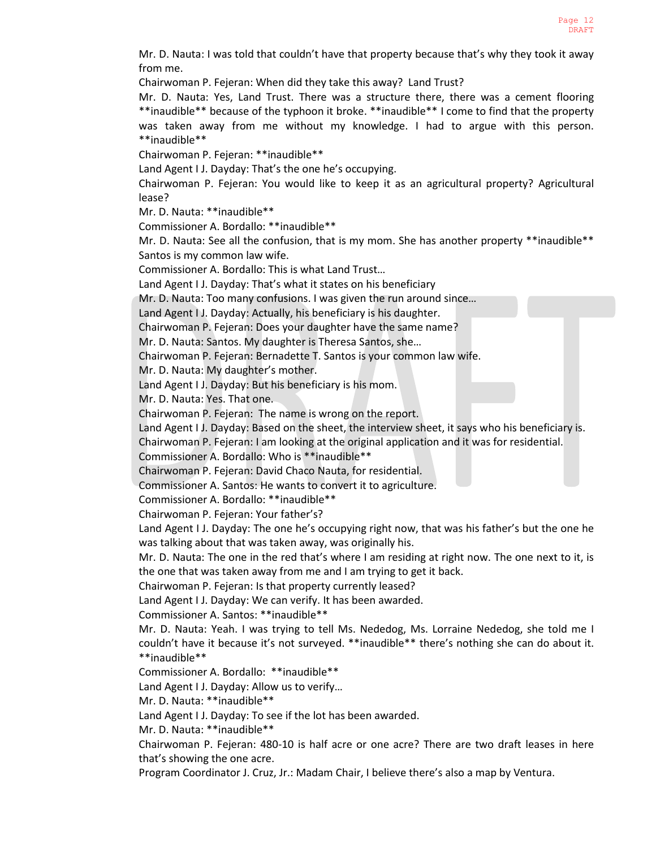Mr. D. Nauta: I was told that couldn't have that property because that's why they took it away from me.

Chairwoman P. Fejeran: When did they take this away? Land Trust?

Mr. D. Nauta: Yes, Land Trust. There was a structure there, there was a cement flooring \*\*inaudible\*\* because of the typhoon it broke. \*\*inaudible\*\* I come to find that the property was taken away from me without my knowledge. I had to argue with this person. \*\*inaudible\*\*

Chairwoman P. Fejeran: \*\*inaudible\*\*

Land Agent I J. Dayday: That's the one he's occupying.

Chairwoman P. Fejeran: You would like to keep it as an agricultural property? Agricultural lease?

Mr. D. Nauta: \*\*inaudible\*\*

Commissioner A. Bordallo: \*\*inaudible\*\*

Mr. D. Nauta: See all the confusion, that is my mom. She has another property \*\*inaudible\*\* Santos is my common law wife.

Commissioner A. Bordallo: This is what Land Trust…

Land Agent I J. Dayday: That's what it states on his beneficiary

Mr. D. Nauta: Too many confusions. I was given the run around since…

Land Agent I J. Dayday: Actually, his beneficiary is his daughter.

Chairwoman P. Fejeran: Does your daughter have the same name?

Mr. D. Nauta: Santos. My daughter is Theresa Santos, she…

Chairwoman P. Fejeran: Bernadette T. Santos is your common law wife.

Mr. D. Nauta: My daughter's mother.

Land Agent I J. Dayday: But his beneficiary is his mom.

Mr. D. Nauta: Yes. That one.

Chairwoman P. Fejeran: The name is wrong on the report.

Land Agent I J. Dayday: Based on the sheet, the interview sheet, it says who his beneficiary is.

Chairwoman P. Fejeran: I am looking at the original application and it was for residential.

Commissioner A. Bordallo: Who is \*\*inaudible\*\*

Chairwoman P. Fejeran: David Chaco Nauta, for residential.

Commissioner A. Santos: He wants to convert it to agriculture.

Commissioner A. Bordallo: \*\*inaudible\*\*

Chairwoman P. Fejeran: Your father's?

Land Agent I J. Dayday: The one he's occupying right now, that was his father's but the one he was talking about that was taken away, was originally his.

Mr. D. Nauta: The one in the red that's where I am residing at right now. The one next to it, is the one that was taken away from me and I am trying to get it back.

Chairwoman P. Fejeran: Is that property currently leased?

Land Agent I J. Dayday: We can verify. It has been awarded.

Commissioner A. Santos: \*\*inaudible\*\*

Mr. D. Nauta: Yeah. I was trying to tell Ms. Nededog, Ms. Lorraine Nededog, she told me I couldn't have it because it's not surveyed. \*\*inaudible\*\* there's nothing she can do about it. \*\*inaudible\*\*

Commissioner A. Bordallo: \*\*inaudible\*\*

Land Agent I J. Dayday: Allow us to verify…

Mr. D. Nauta: \*\*inaudible\*\*

Land Agent I J. Dayday: To see if the lot has been awarded.

Mr. D. Nauta: \*\*inaudible\*\*

Chairwoman P. Fejeran: 480-10 is half acre or one acre? There are two draft leases in here that's showing the one acre.

Program Coordinator J. Cruz, Jr.: Madam Chair, I believe there's also a map by Ventura.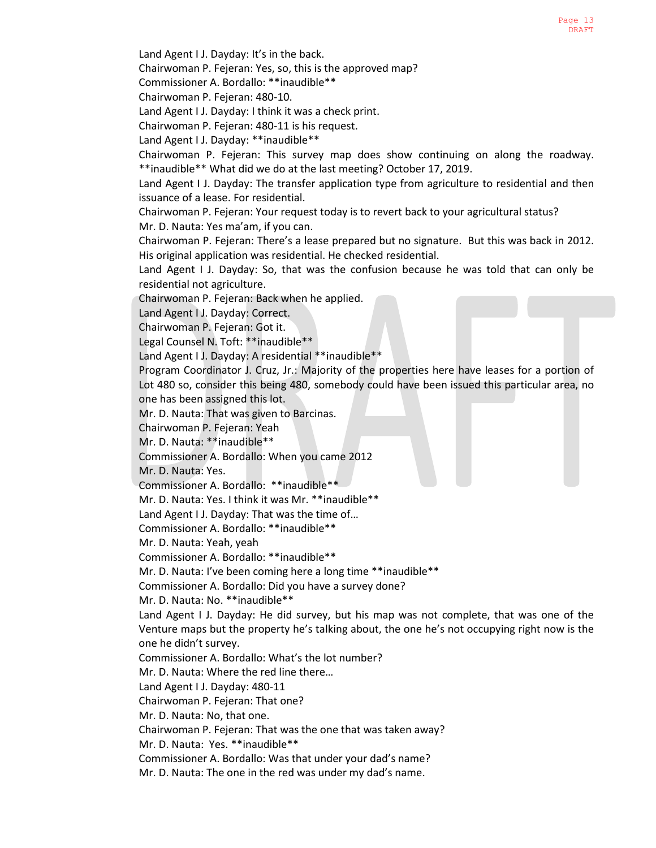Land Agent I J. Dayday: It's in the back.

Chairwoman P. Fejeran: Yes, so, this is the approved map?

Commissioner A. Bordallo: \*\*inaudible\*\*

Chairwoman P. Fejeran: 480-10.

Land Agent I J. Dayday: I think it was a check print.

Chairwoman P. Fejeran: 480-11 is his request.

Land Agent I J. Dayday: \*\*inaudible\*\*

Chairwoman P. Fejeran: This survey map does show continuing on along the roadway. \*\*inaudible\*\* What did we do at the last meeting? October 17, 2019.

Land Agent I J. Dayday: The transfer application type from agriculture to residential and then issuance of a lease. For residential.

Chairwoman P. Fejeran: Your request today is to revert back to your agricultural status?

Mr. D. Nauta: Yes ma'am, if you can.

Chairwoman P. Fejeran: There's a lease prepared but no signature. But this was back in 2012. His original application was residential. He checked residential.

Land Agent I J. Dayday: So, that was the confusion because he was told that can only be residential not agriculture.

Chairwoman P. Fejeran: Back when he applied.

Land Agent I J. Dayday: Correct.

Chairwoman P. Fejeran: Got it.

Legal Counsel N. Toft: \*\*inaudible\*\*

Land Agent I J. Dayday: A residential \*\*inaudible\*\*

Program Coordinator J. Cruz, Jr.: Majority of the properties here have leases for a portion of Lot 480 so, consider this being 480, somebody could have been issued this particular area, no one has been assigned this lot.

Mr. D. Nauta: That was given to Barcinas.

Chairwoman P. Fejeran: Yeah

Mr. D. Nauta: \*\*inaudible\*\*

Commissioner A. Bordallo: When you came 2012

Mr. D. Nauta: Yes.

Commissioner A. Bordallo: \*\*inaudible\*\*

Mr. D. Nauta: Yes. I think it was Mr. \*\*inaudible\*\*

Land Agent I J. Dayday: That was the time of…

Commissioner A. Bordallo: \*\*inaudible\*\*

Mr. D. Nauta: Yeah, yeah

Commissioner A. Bordallo: \*\*inaudible\*\*

Mr. D. Nauta: I've been coming here a long time \*\*inaudible\*\*

Commissioner A. Bordallo: Did you have a survey done?

Mr. D. Nauta: No. \*\*inaudible\*\*

Land Agent I J. Dayday: He did survey, but his map was not complete, that was one of the Venture maps but the property he's talking about, the one he's not occupying right now is the one he didn't survey.

Commissioner A. Bordallo: What's the lot number?

Mr. D. Nauta: Where the red line there…

Land Agent I J. Dayday: 480-11

Chairwoman P. Fejeran: That one?

Mr. D. Nauta: No, that one.

Chairwoman P. Fejeran: That was the one that was taken away?

Mr. D. Nauta: Yes. \*\*inaudible\*\*

Commissioner A. Bordallo: Was that under your dad's name?

Mr. D. Nauta: The one in the red was under my dad's name.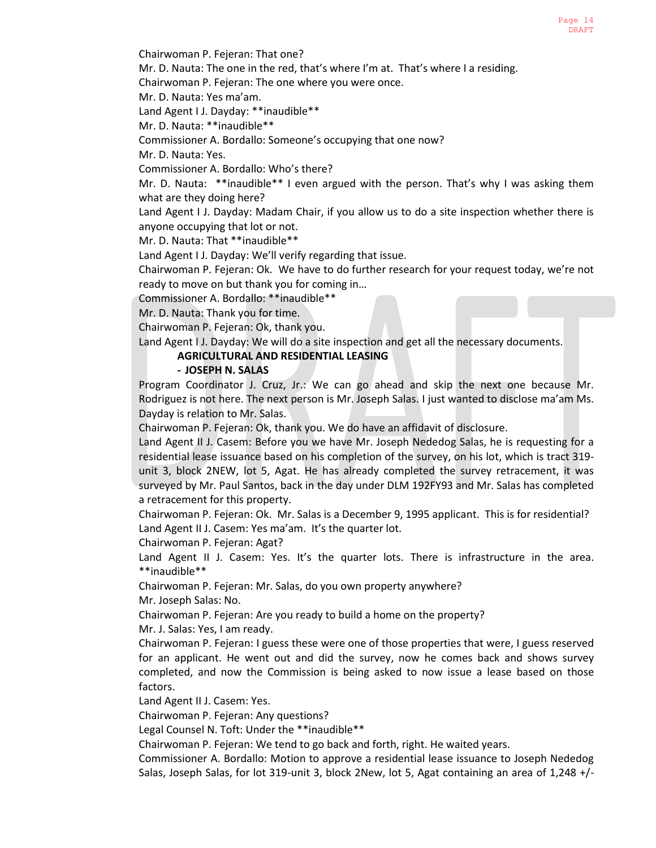Chairwoman P. Fejeran: That one?

Mr. D. Nauta: The one in the red, that's where I'm at. That's where I a residing.

Chairwoman P. Fejeran: The one where you were once.

Mr. D. Nauta: Yes ma'am.

Land Agent I J. Dayday: \*\*inaudible\*\*

Mr. D. Nauta: \*\*inaudible\*\*

Commissioner A. Bordallo: Someone's occupying that one now?

Mr. D. Nauta: Yes.

Commissioner A. Bordallo: Who's there?

Mr. D. Nauta: \*\*inaudible\*\* I even argued with the person. That's why I was asking them what are they doing here?

Land Agent I J. Dayday: Madam Chair, if you allow us to do a site inspection whether there is anyone occupying that lot or not.

Mr. D. Nauta: That \*\*inaudible\*\*

Land Agent I J. Dayday: We'll verify regarding that issue.

Chairwoman P. Fejeran: Ok. We have to do further research for your request today, we're not ready to move on but thank you for coming in…

Commissioner A. Bordallo: \*\*inaudible\*\*

Mr. D. Nauta: Thank you for time.

Chairwoman P. Fejeran: Ok, thank you.

Land Agent I J. Dayday: We will do a site inspection and get all the necessary documents.

**AGRICULTURAL AND RESIDENTIAL LEASING**

# **- JOSEPH N. SALAS**

Program Coordinator J. Cruz, Jr.: We can go ahead and skip the next one because Mr. Rodriguez is not here. The next person is Mr. Joseph Salas. I just wanted to disclose ma'am Ms. Dayday is relation to Mr. Salas.

Chairwoman P. Fejeran: Ok, thank you. We do have an affidavit of disclosure.

Land Agent II J. Casem: Before you we have Mr. Joseph Nededog Salas, he is requesting for a residential lease issuance based on his completion of the survey, on his lot, which is tract 319 unit 3, block 2NEW, lot 5, Agat. He has already completed the survey retracement, it was surveyed by Mr. Paul Santos, back in the day under DLM 192FY93 and Mr. Salas has completed a retracement for this property.

Chairwoman P. Fejeran: Ok. Mr. Salas is a December 9, 1995 applicant. This is for residential? Land Agent II J. Casem: Yes ma'am. It's the quarter lot.

Chairwoman P. Fejeran: Agat?

Land Agent II J. Casem: Yes. It's the quarter lots. There is infrastructure in the area. \*\*inaudible\*\*

Chairwoman P. Fejeran: Mr. Salas, do you own property anywhere?

Mr. Joseph Salas: No.

Chairwoman P. Fejeran: Are you ready to build a home on the property?

Mr. J. Salas: Yes, I am ready.

Chairwoman P. Fejeran: I guess these were one of those properties that were, I guess reserved for an applicant. He went out and did the survey, now he comes back and shows survey completed, and now the Commission is being asked to now issue a lease based on those factors.

Land Agent II J. Casem: Yes.

Chairwoman P. Fejeran: Any questions?

Legal Counsel N. Toft: Under the \*\*inaudible\*\*

Chairwoman P. Fejeran: We tend to go back and forth, right. He waited years.

Commissioner A. Bordallo: Motion to approve a residential lease issuance to Joseph Nededog Salas, Joseph Salas, for lot 319-unit 3, block 2New, lot 5, Agat containing an area of 1,248 +/-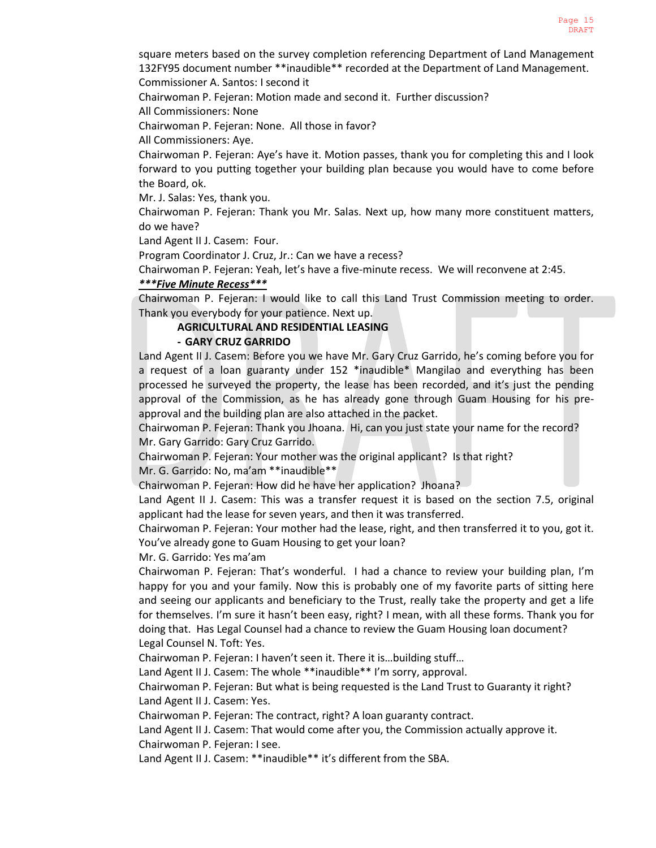square meters based on the survey completion referencing Department of Land Management 132FY95 document number \*\*inaudible\*\* recorded at the Department of Land Management. Commissioner A. Santos: I second it

Chairwoman P. Fejeran: Motion made and second it. Further discussion?

All Commissioners: None

Chairwoman P. Fejeran: None. All those in favor?

All Commissioners: Aye.

Chairwoman P. Fejeran: Aye's have it. Motion passes, thank you for completing this and I look forward to you putting together your building plan because you would have to come before the Board, ok.

Mr. J. Salas: Yes, thank you.

Chairwoman P. Fejeran: Thank you Mr. Salas. Next up, how many more constituent matters, do we have?

Land Agent II J. Casem: Four.

Program Coordinator J. Cruz, Jr.: Can we have a recess?

Chairwoman P. Fejeran: Yeah, let's have a five-minute recess. We will reconvene at 2:45.

*\*\*\*Five Minute Recess\*\*\**

Chairwoman P. Fejeran: I would like to call this Land Trust Commission meeting to order. Thank you everybody for your patience. Next up.

# **AGRICULTURAL AND RESIDENTIAL LEASING**

# **- GARY CRUZ GARRIDO**

Land Agent II J. Casem: Before you we have Mr. Gary Cruz Garrido, he's coming before you for a request of a loan guaranty under 152 \*inaudible\* Mangilao and everything has been processed he surveyed the property, the lease has been recorded, and it's just the pending approval of the Commission, as he has already gone through Guam Housing for his preapproval and the building plan are also attached in the packet.

Chairwoman P. Fejeran: Thank you Jhoana. Hi, can you just state your name for the record? Mr. Gary Garrido: Gary Cruz Garrido.

Chairwoman P. Fejeran: Your mother was the original applicant? Is that right?

Mr. G. Garrido: No, ma'am \*\*inaudible\*\*

Chairwoman P. Fejeran: How did he have her application? Jhoana?

Land Agent II J. Casem: This was a transfer request it is based on the section 7.5, original applicant had the lease for seven years, and then it was transferred.

Chairwoman P. Fejeran: Your mother had the lease, right, and then transferred it to you, got it. You've already gone to Guam Housing to get your loan?

Mr. G. Garrido: Yes ma'am

Chairwoman P. Fejeran: That's wonderful. I had a chance to review your building plan, I'm happy for you and your family. Now this is probably one of my favorite parts of sitting here and seeing our applicants and beneficiary to the Trust, really take the property and get a life for themselves. I'm sure it hasn't been easy, right? I mean, with all these forms. Thank you for doing that. Has Legal Counsel had a chance to review the Guam Housing loan document? Legal Counsel N. Toft: Yes.

Chairwoman P. Fejeran: I haven't seen it. There it is…building stuff…

Land Agent II J. Casem: The whole \*\*inaudible\*\* I'm sorry, approval.

Chairwoman P. Fejeran: But what is being requested is the Land Trust to Guaranty it right? Land Agent II J. Casem: Yes.

Chairwoman P. Fejeran: The contract, right? A loan guaranty contract.

Land Agent II J. Casem: That would come after you, the Commission actually approve it. Chairwoman P. Fejeran: I see.

Land Agent II J. Casem: \*\*inaudible\*\* it's different from the SBA.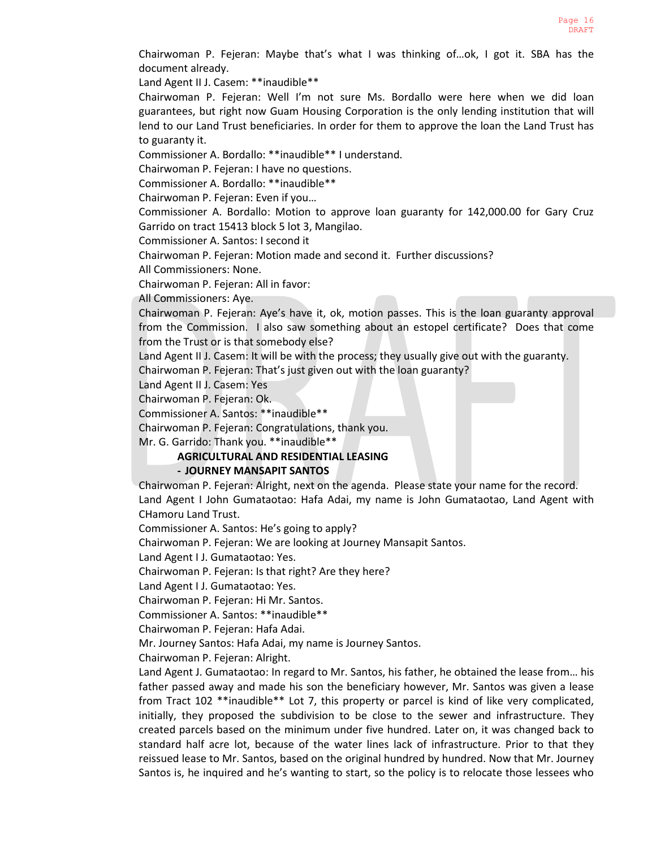Chairwoman P. Fejeran: Maybe that's what I was thinking of…ok, I got it. SBA has the document already.

Land Agent II J. Casem: \*\*inaudible\*\*

Chairwoman P. Fejeran: Well I'm not sure Ms. Bordallo were here when we did loan guarantees, but right now Guam Housing Corporation is the only lending institution that will lend to our Land Trust beneficiaries. In order for them to approve the loan the Land Trust has to guaranty it.

Commissioner A. Bordallo: \*\*inaudible\*\* I understand.

Chairwoman P. Fejeran: I have no questions.

Commissioner A. Bordallo: \*\*inaudible\*\*

Chairwoman P. Fejeran: Even if you…

Commissioner A. Bordallo: Motion to approve loan guaranty for 142,000.00 for Gary Cruz Garrido on tract 15413 block 5 lot 3, Mangilao.

Commissioner A. Santos: I second it

Chairwoman P. Fejeran: Motion made and second it. Further discussions?

All Commissioners: None.

Chairwoman P. Fejeran: All in favor:

All Commissioners: Aye.

Chairwoman P. Fejeran: Aye's have it, ok, motion passes. This is the loan guaranty approval from the Commission. I also saw something about an estopel certificate? Does that come from the Trust or is that somebody else?

Land Agent II J. Casem: It will be with the process; they usually give out with the guaranty.

Chairwoman P. Fejeran: That's just given out with the loan guaranty?

Land Agent II J. Casem: Yes

Chairwoman P. Fejeran: Ok.

Commissioner A. Santos: \*\*inaudible\*\*

Chairwoman P. Fejeran: Congratulations, thank you.

Mr. G. Garrido: Thank you. \*\*inaudible\*\*

# **AGRICULTURAL AND RESIDENTIAL LEASING**

# **- JOURNEY MANSAPIT SANTOS**

Chairwoman P. Fejeran: Alright, next on the agenda. Please state your name for the record. Land Agent I John Gumataotao: Hafa Adai, my name is John Gumataotao, Land Agent with CHamoru Land Trust.

Commissioner A. Santos: He's going to apply?

Chairwoman P. Fejeran: We are looking at Journey Mansapit Santos.

Land Agent I J. Gumataotao: Yes.

Chairwoman P. Fejeran: Is that right? Are they here?

Land Agent I J. Gumataotao: Yes.

Chairwoman P. Fejeran: Hi Mr. Santos.

Commissioner A. Santos: \*\*inaudible\*\*

Chairwoman P. Fejeran: Hafa Adai.

Mr. Journey Santos: Hafa Adai, my name is Journey Santos.

Chairwoman P. Fejeran: Alright.

Land Agent J. Gumataotao: In regard to Mr. Santos, his father, he obtained the lease from… his father passed away and made his son the beneficiary however, Mr. Santos was given a lease from Tract 102 \*\*inaudible\*\* Lot 7, this property or parcel is kind of like very complicated, initially, they proposed the subdivision to be close to the sewer and infrastructure. They created parcels based on the minimum under five hundred. Later on, it was changed back to standard half acre lot, because of the water lines lack of infrastructure. Prior to that they reissued lease to Mr. Santos, based on the original hundred by hundred. Now that Mr. Journey Santos is, he inquired and he's wanting to start, so the policy is to relocate those lessees who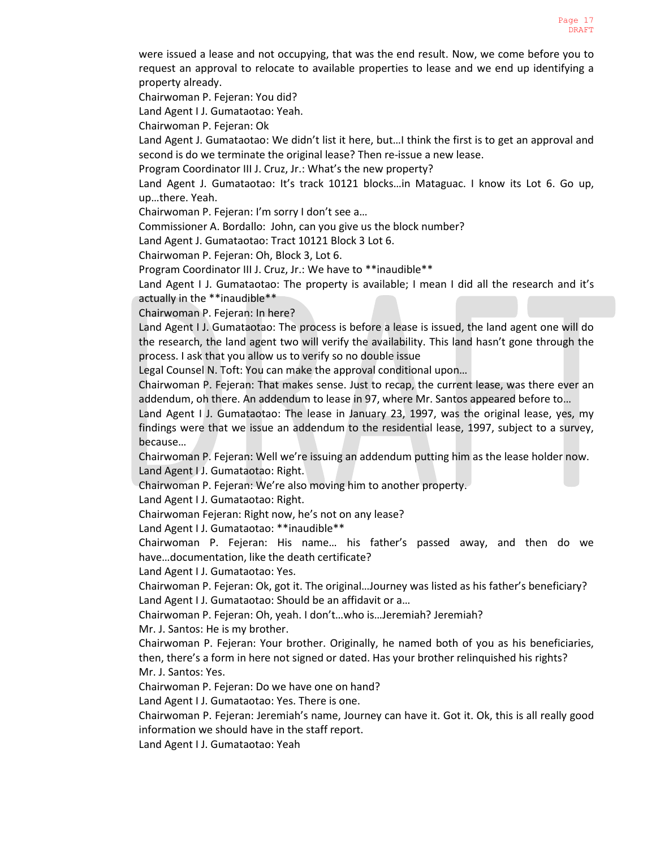were issued a lease and not occupying, that was the end result. Now, we come before you to request an approval to relocate to available properties to lease and we end up identifying a property already.

Chairwoman P. Fejeran: You did?

Land Agent I J. Gumataotao: Yeah.

Chairwoman P. Fejeran: Ok

Land Agent J. Gumataotao: We didn't list it here, but…I think the first is to get an approval and second is do we terminate the original lease? Then re-issue a new lease.

Program Coordinator III J. Cruz, Jr.: What's the new property?

Land Agent J. Gumataotao: It's track 10121 blocks…in Mataguac. I know its Lot 6. Go up, up…there. Yeah.

Chairwoman P. Fejeran: I'm sorry I don't see a…

Commissioner A. Bordallo: John, can you give us the block number?

Land Agent J. Gumataotao: Tract 10121 Block 3 Lot 6.

Chairwoman P. Fejeran: Oh, Block 3, Lot 6.

Program Coordinator III J. Cruz, Jr.: We have to \*\*inaudible\*\*

Land Agent I J. Gumataotao: The property is available; I mean I did all the research and it's actually in the \*\*inaudible\*\*

Chairwoman P. Fejeran: In here?

Land Agent I J. Gumataotao: The process is before a lease is issued, the land agent one will do the research, the land agent two will verify the availability. This land hasn't gone through the process. I ask that you allow us to verify so no double issue

Legal Counsel N. Toft: You can make the approval conditional upon…

Chairwoman P. Fejeran: That makes sense. Just to recap, the current lease, was there ever an addendum, oh there. An addendum to lease in 97, where Mr. Santos appeared before to…

Land Agent I J. Gumataotao: The lease in January 23, 1997, was the original lease, yes, my findings were that we issue an addendum to the residential lease, 1997, subject to a survey, because…

Chairwoman P. Fejeran: Well we're issuing an addendum putting him as the lease holder now. Land Agent I J. Gumataotao: Right.

Chairwoman P. Fejeran: We're also moving him to another property.

Land Agent I J. Gumataotao: Right.

Chairwoman Fejeran: Right now, he's not on any lease?

Land Agent I J. Gumataotao: \*\*inaudible\*\*

Chairwoman P. Fejeran: His name… his father's passed away, and then do we have…documentation, like the death certificate?

Land Agent I J. Gumataotao: Yes.

Chairwoman P. Fejeran: Ok, got it. The original…Journey was listed as his father's beneficiary? Land Agent I J. Gumataotao: Should be an affidavit or a…

Chairwoman P. Fejeran: Oh, yeah. I don't…who is…Jeremiah? Jeremiah?

Mr. J. Santos: He is my brother.

Chairwoman P. Fejeran: Your brother. Originally, he named both of you as his beneficiaries, then, there's a form in here not signed or dated. Has your brother relinquished his rights? Mr. J. Santos: Yes.

Chairwoman P. Fejeran: Do we have one on hand?

Land Agent I J. Gumataotao: Yes. There is one.

Chairwoman P. Fejeran: Jeremiah's name, Journey can have it. Got it. Ok, this is all really good information we should have in the staff report.

Land Agent I J. Gumataotao: Yeah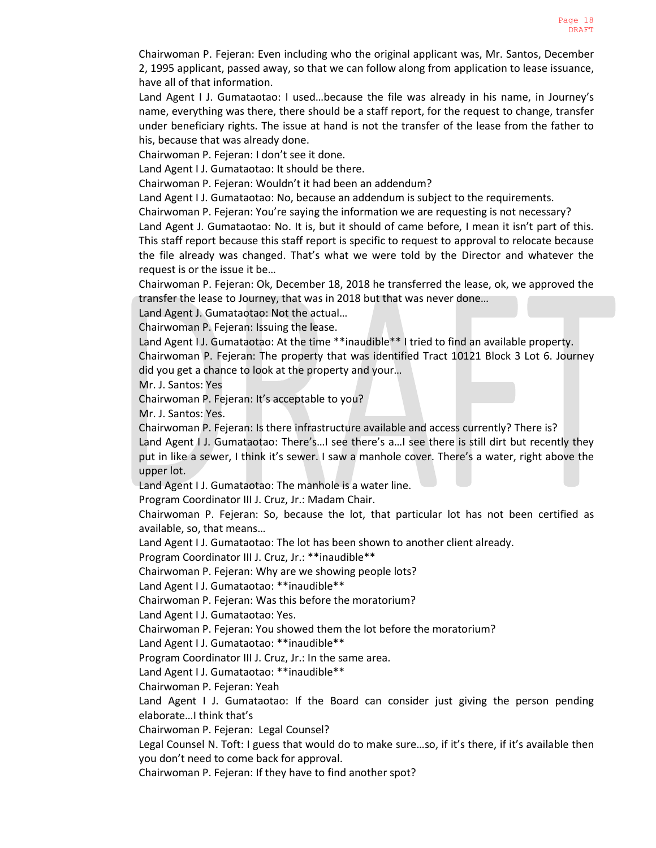Chairwoman P. Fejeran: Even including who the original applicant was, Mr. Santos, December 2, 1995 applicant, passed away, so that we can follow along from application to lease issuance, have all of that information.

Land Agent I J. Gumataotao: I used...because the file was already in his name, in Journey's name, everything was there, there should be a staff report, for the request to change, transfer under beneficiary rights. The issue at hand is not the transfer of the lease from the father to his, because that was already done.

Chairwoman P. Fejeran: I don't see it done.

Land Agent I J. Gumataotao: It should be there.

Chairwoman P. Fejeran: Wouldn't it had been an addendum?

Land Agent I J. Gumataotao: No, because an addendum is subject to the requirements.

Chairwoman P. Fejeran: You're saying the information we are requesting is not necessary?

Land Agent J. Gumataotao: No. It is, but it should of came before, I mean it isn't part of this. This staff report because this staff report is specific to request to approval to relocate because the file already was changed. That's what we were told by the Director and whatever the request is or the issue it be…

Chairwoman P. Fejeran: Ok, December 18, 2018 he transferred the lease, ok, we approved the transfer the lease to Journey, that was in 2018 but that was never done…

Land Agent J. Gumataotao: Not the actual…

Chairwoman P. Fejeran: Issuing the lease.

Land Agent I J. Gumataotao: At the time \*\*inaudible\*\* I tried to find an available property.

Chairwoman P. Fejeran: The property that was identified Tract 10121 Block 3 Lot 6. Journey did you get a chance to look at the property and your…

Mr. J. Santos: Yes

Chairwoman P. Fejeran: It's acceptable to you?

Mr. J. Santos: Yes.

Chairwoman P. Fejeran: Is there infrastructure available and access currently? There is? Land Agent I J. Gumataotao: There's...I see there's a...I see there is still dirt but recently they put in like a sewer, I think it's sewer. I saw a manhole cover. There's a water, right above the upper lot.

Land Agent I J. Gumataotao: The manhole is a water line.

Program Coordinator III J. Cruz, Jr.: Madam Chair.

Chairwoman P. Fejeran: So, because the lot, that particular lot has not been certified as available, so, that means…

Land Agent I J. Gumataotao: The lot has been shown to another client already.

Program Coordinator III J. Cruz, Jr.: \*\*inaudible\*\*

Chairwoman P. Fejeran: Why are we showing people lots?

Land Agent I J. Gumataotao: \*\*inaudible\*\*

Chairwoman P. Fejeran: Was this before the moratorium?

Land Agent I J. Gumataotao: Yes.

Chairwoman P. Fejeran: You showed them the lot before the moratorium?

Land Agent I J. Gumataotao: \*\*inaudible\*\*

Program Coordinator III J. Cruz, Jr.: In the same area.

Land Agent I J. Gumataotao: \*\*inaudible\*\*

Chairwoman P. Fejeran: Yeah

Land Agent I J. Gumataotao: If the Board can consider just giving the person pending elaborate…I think that's

Chairwoman P. Fejeran: Legal Counsel?

Legal Counsel N. Toft: I guess that would do to make sure…so, if it's there, if it's available then you don't need to come back for approval.

Chairwoman P. Fejeran: If they have to find another spot?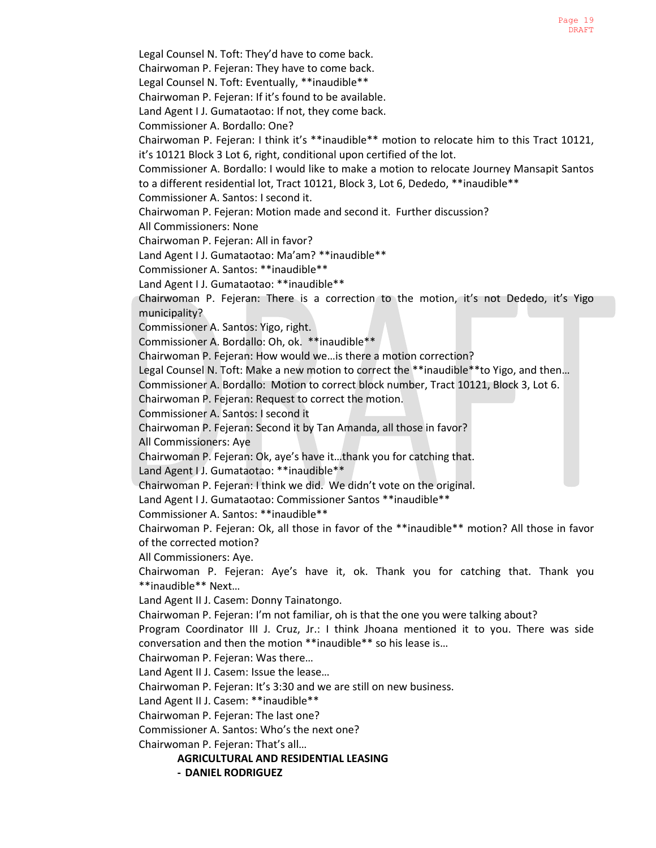Legal Counsel N. Toft: They'd have to come back. Chairwoman P. Fejeran: They have to come back. Legal Counsel N. Toft: Eventually, \*\*inaudible\*\* Chairwoman P. Fejeran: If it's found to be available. Land Agent I J. Gumataotao: If not, they come back. Commissioner A. Bordallo: One? Chairwoman P. Fejeran: I think it's \*\*inaudible\*\* motion to relocate him to this Tract 10121, it's 10121 Block 3 Lot 6, right, conditional upon certified of the lot. Commissioner A. Bordallo: I would like to make a motion to relocate Journey Mansapit Santos to a different residential lot, Tract 10121, Block 3, Lot 6, Dededo, \*\*inaudible\*\* Commissioner A. Santos: I second it. Chairwoman P. Fejeran: Motion made and second it. Further discussion? All Commissioners: None Chairwoman P. Fejeran: All in favor? Land Agent I J. Gumataotao: Ma'am? \*\*inaudible\*\* Commissioner A. Santos: \*\*inaudible\*\* Land Agent I J. Gumataotao: \*\*inaudible\*\* Chairwoman P. Fejeran: There is a correction to the motion, it's not Dededo, it's Yigo municipality? Commissioner A. Santos: Yigo, right. Commissioner A. Bordallo: Oh, ok. \*\*inaudible\*\* Chairwoman P. Fejeran: How would we…is there a motion correction? Legal Counsel N. Toft: Make a new motion to correct the \*\*inaudible\*\*to Yigo, and then... Commissioner A. Bordallo: Motion to correct block number, Tract 10121, Block 3, Lot 6. Chairwoman P. Fejeran: Request to correct the motion. Commissioner A. Santos: I second it Chairwoman P. Fejeran: Second it by Tan Amanda, all those in favor? All Commissioners: Aye Chairwoman P. Fejeran: Ok, aye's have it…thank you for catching that. Land Agent I J. Gumataotao: \*\*inaudible\*\* Chairwoman P. Fejeran: I think we did. We didn't vote on the original. Land Agent I J. Gumataotao: Commissioner Santos \*\*inaudible\*\* Commissioner A. Santos: \*\*inaudible\*\* Chairwoman P. Fejeran: Ok, all those in favor of the \*\*inaudible\*\* motion? All those in favor of the corrected motion? All Commissioners: Aye. Chairwoman P. Fejeran: Aye's have it, ok. Thank you for catching that. Thank you \*\*inaudible\*\* Next… Land Agent II J. Casem: Donny Tainatongo. Chairwoman P. Fejeran: I'm not familiar, oh is that the one you were talking about? Program Coordinator III J. Cruz, Jr.: I think Jhoana mentioned it to you. There was side conversation and then the motion \*\*inaudible\*\* so his lease is… Chairwoman P. Fejeran: Was there… Land Agent II J. Casem: Issue the lease… Chairwoman P. Fejeran: It's 3:30 and we are still on new business. Land Agent II J. Casem: \*\*inaudible\*\* Chairwoman P. Fejeran: The last one? Commissioner A. Santos: Who's the next one? Chairwoman P. Fejeran: That's all…

**AGRICULTURAL AND RESIDENTIAL LEASING**

**- DANIEL RODRIGUEZ**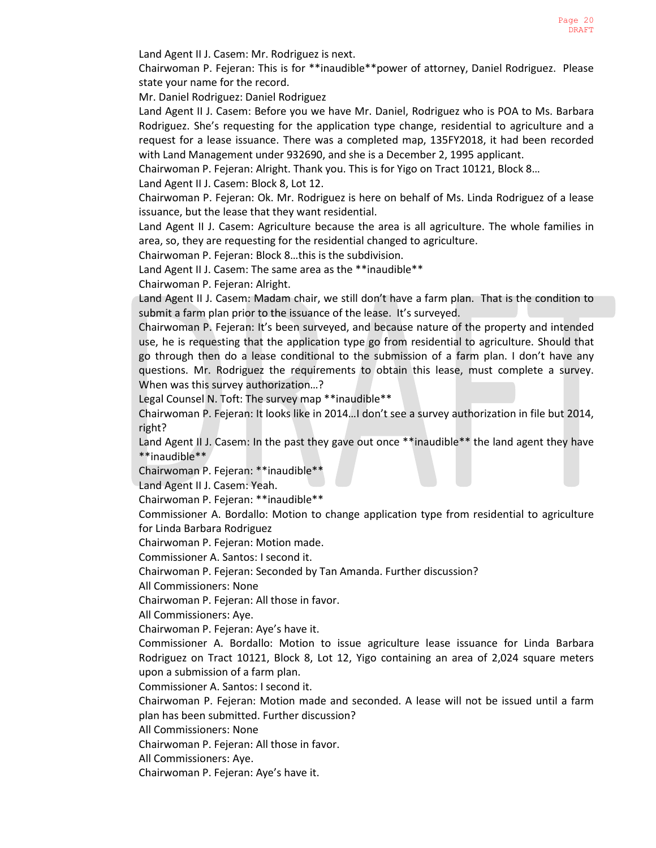Land Agent II J. Casem: Mr. Rodriguez is next.

Chairwoman P. Fejeran: This is for \*\*inaudible\*\*power of attorney, Daniel Rodriguez. Please state your name for the record.

Mr. Daniel Rodriguez: Daniel Rodriguez

Land Agent II J. Casem: Before you we have Mr. Daniel, Rodriguez who is POA to Ms. Barbara Rodriguez. She's requesting for the application type change, residential to agriculture and a request for a lease issuance. There was a completed map, 135FY2018, it had been recorded with Land Management under 932690, and she is a December 2, 1995 applicant.

Chairwoman P. Fejeran: Alright. Thank you. This is for Yigo on Tract 10121, Block 8…

Land Agent II J. Casem: Block 8, Lot 12.

Chairwoman P. Fejeran: Ok. Mr. Rodriguez is here on behalf of Ms. Linda Rodriguez of a lease issuance, but the lease that they want residential.

Land Agent II J. Casem: Agriculture because the area is all agriculture. The whole families in area, so, they are requesting for the residential changed to agriculture.

Chairwoman P. Fejeran: Block 8…this is the subdivision.

Land Agent II J. Casem: The same area as the \*\*inaudible\*\*

Chairwoman P. Fejeran: Alright.

Land Agent II J. Casem: Madam chair, we still don't have a farm plan. That is the condition to submit a farm plan prior to the issuance of the lease. It's surveyed.

Chairwoman P. Fejeran: It's been surveyed, and because nature of the property and intended use, he is requesting that the application type go from residential to agriculture. Should that go through then do a lease conditional to the submission of a farm plan. I don't have any questions. Mr. Rodriguez the requirements to obtain this lease, must complete a survey. When was this survey authorization…?

Legal Counsel N. Toft: The survey map \*\*inaudible\*\*

Chairwoman P. Fejeran: It looks like in 2014…I don't see a survey authorization in file but 2014, right?

Land Agent II J. Casem: In the past they gave out once \*\*inaudible\*\* the land agent they have \*\*inaudible\*\*

Chairwoman P. Fejeran: \*\*inaudible\*\*

Land Agent II J. Casem: Yeah.

Chairwoman P. Fejeran: \*\*inaudible\*\*

Commissioner A. Bordallo: Motion to change application type from residential to agriculture for Linda Barbara Rodriguez

Chairwoman P. Fejeran: Motion made.

Commissioner A. Santos: I second it.

Chairwoman P. Fejeran: Seconded by Tan Amanda. Further discussion?

All Commissioners: None

Chairwoman P. Fejeran: All those in favor.

All Commissioners: Aye.

Chairwoman P. Fejeran: Aye's have it.

Commissioner A. Bordallo: Motion to issue agriculture lease issuance for Linda Barbara Rodriguez on Tract 10121, Block 8, Lot 12, Yigo containing an area of 2,024 square meters upon a submission of a farm plan.

Commissioner A. Santos: I second it.

Chairwoman P. Fejeran: Motion made and seconded. A lease will not be issued until a farm plan has been submitted. Further discussion?

All Commissioners: None

Chairwoman P. Fejeran: All those in favor.

All Commissioners: Aye.

Chairwoman P. Fejeran: Aye's have it.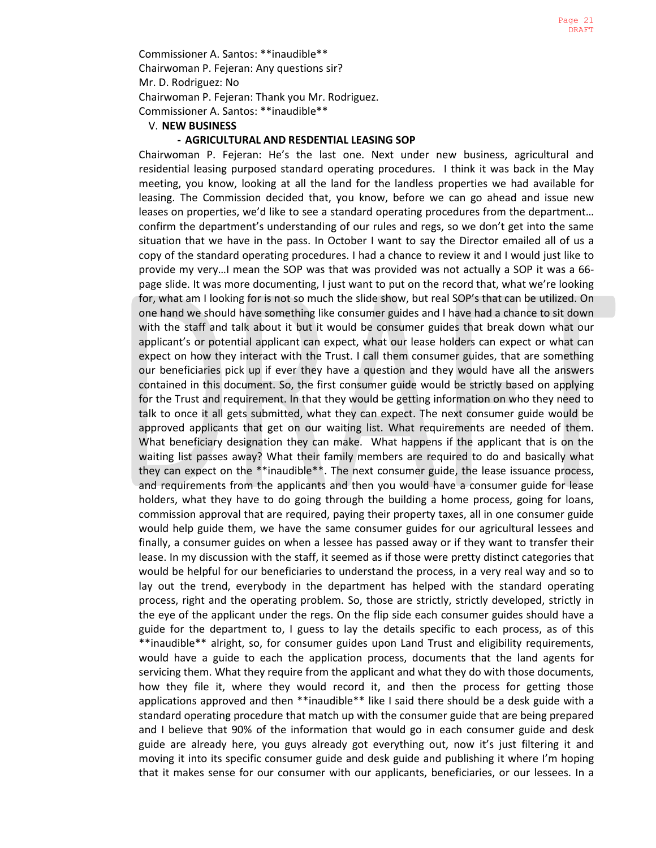Commissioner A. Santos: \*\*inaudible\*\* Chairwoman P. Fejeran: Any questions sir? Mr. D. Rodriguez: No Chairwoman P. Fejeran: Thank you Mr. Rodriguez. Commissioner A. Santos: \*\*inaudible\*\*

### V. **NEW BUSINESS**

### **- AGRICULTURAL AND RESDENTIAL LEASING SOP**

Chairwoman P. Fejeran: He's the last one. Next under new business, agricultural and residential leasing purposed standard operating procedures. I think it was back in the May meeting, you know, looking at all the land for the landless properties we had available for leasing. The Commission decided that, you know, before we can go ahead and issue new leases on properties, we'd like to see a standard operating procedures from the department… confirm the department's understanding of our rules and regs, so we don't get into the same situation that we have in the pass. In October I want to say the Director emailed all of us a copy of the standard operating procedures. I had a chance to review it and I would just like to provide my very…I mean the SOP was that was provided was not actually a SOP it was a 66 page slide. It was more documenting, I just want to put on the record that, what we're looking for, what am I looking for is not so much the slide show, but real SOP's that can be utilized. On one hand we should have something like consumer guides and I have had a chance to sit down with the staff and talk about it but it would be consumer guides that break down what our applicant's or potential applicant can expect, what our lease holders can expect or what can expect on how they interact with the Trust. I call them consumer guides, that are something our beneficiaries pick up if ever they have a question and they would have all the answers contained in this document. So, the first consumer guide would be strictly based on applying for the Trust and requirement. In that they would be getting information on who they need to talk to once it all gets submitted, what they can expect. The next consumer guide would be approved applicants that get on our waiting list. What requirements are needed of them. What beneficiary designation they can make. What happens if the applicant that is on the waiting list passes away? What their family members are required to do and basically what they can expect on the \*\*inaudible\*\*. The next consumer guide, the lease issuance process, and requirements from the applicants and then you would have a consumer guide for lease holders, what they have to do going through the building a home process, going for loans, commission approval that are required, paying their property taxes, all in one consumer guide would help guide them, we have the same consumer guides for our agricultural lessees and finally, a consumer guides on when a lessee has passed away or if they want to transfer their lease. In my discussion with the staff, it seemed as if those were pretty distinct categories that would be helpful for our beneficiaries to understand the process, in a very real way and so to lay out the trend, everybody in the department has helped with the standard operating process, right and the operating problem. So, those are strictly, strictly developed, strictly in the eye of the applicant under the regs. On the flip side each consumer guides should have a guide for the department to, I guess to lay the details specific to each process, as of this \*\*inaudible\*\* alright, so, for consumer guides upon Land Trust and eligibility requirements, would have a guide to each the application process, documents that the land agents for servicing them. What they require from the applicant and what they do with those documents, how they file it, where they would record it, and then the process for getting those applications approved and then \*\*inaudible\*\* like I said there should be a desk guide with a standard operating procedure that match up with the consumer guide that are being prepared and I believe that 90% of the information that would go in each consumer guide and desk guide are already here, you guys already got everything out, now it's just filtering it and moving it into its specific consumer guide and desk guide and publishing it where I'm hoping that it makes sense for our consumer with our applicants, beneficiaries, or our lessees. In a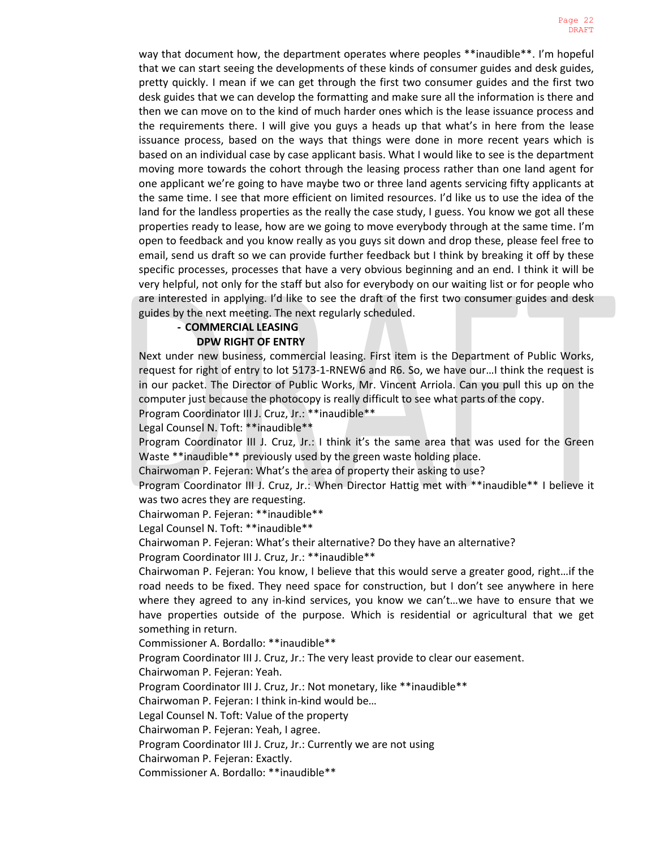way that document how, the department operates where peoples \*\*inaudible\*\*. I'm hopeful that we can start seeing the developments of these kinds of consumer guides and desk guides, pretty quickly. I mean if we can get through the first two consumer guides and the first two desk guides that we can develop the formatting and make sure all the information is there and then we can move on to the kind of much harder ones which is the lease issuance process and the requirements there. I will give you guys a heads up that what's in here from the lease issuance process, based on the ways that things were done in more recent years which is based on an individual case by case applicant basis. What I would like to see is the department moving more towards the cohort through the leasing process rather than one land agent for one applicant we're going to have maybe two or three land agents servicing fifty applicants at the same time. I see that more efficient on limited resources. I'd like us to use the idea of the land for the landless properties as the really the case study, I guess. You know we got all these properties ready to lease, how are we going to move everybody through at the same time. I'm open to feedback and you know really as you guys sit down and drop these, please feel free to email, send us draft so we can provide further feedback but I think by breaking it off by these specific processes, processes that have a very obvious beginning and an end. I think it will be very helpful, not only for the staff but also for everybody on our waiting list or for people who are interested in applying. I'd like to see the draft of the first two consumer guides and desk guides by the next meeting. The next regularly scheduled.

### **- COMMERCIAL LEASING DPW RIGHT OF ENTRY**

Next under new business, commercial leasing. First item is the Department of Public Works, request for right of entry to lot 5173-1-RNEW6 and R6. So, we have our…I think the request is in our packet. The Director of Public Works, Mr. Vincent Arriola. Can you pull this up on the computer just because the photocopy is really difficult to see what parts of the copy.

Program Coordinator III J. Cruz, Jr.: \*\*inaudible\*\*

Legal Counsel N. Toft: \*\*inaudible\*\*

Program Coordinator III J. Cruz, Jr.: I think it's the same area that was used for the Green Waste \*\*inaudible\*\* previously used by the green waste holding place.

Chairwoman P. Fejeran: What's the area of property their asking to use?

Program Coordinator III J. Cruz, Jr.: When Director Hattig met with \*\*inaudible\*\* I believe it was two acres they are requesting.

Chairwoman P. Fejeran: \*\*inaudible\*\*

Legal Counsel N. Toft: \*\*inaudible\*\*

Chairwoman P. Fejeran: What's their alternative? Do they have an alternative?

Program Coordinator III J. Cruz, Jr.: \*\*inaudible\*\*

Chairwoman P. Fejeran: You know, I believe that this would serve a greater good, right…if the road needs to be fixed. They need space for construction, but I don't see anywhere in here where they agreed to any in-kind services, you know we can't…we have to ensure that we have properties outside of the purpose. Which is residential or agricultural that we get something in return.

Commissioner A. Bordallo: \*\*inaudible\*\*

Program Coordinator III J. Cruz, Jr.: The very least provide to clear our easement.

Chairwoman P. Fejeran: Yeah.

Program Coordinator III J. Cruz, Jr.: Not monetary, like \*\*inaudible\*\*

Chairwoman P. Fejeran: I think in-kind would be…

Legal Counsel N. Toft: Value of the property

Chairwoman P. Fejeran: Yeah, I agree.

Program Coordinator III J. Cruz, Jr.: Currently we are not using

Chairwoman P. Fejeran: Exactly.

Commissioner A. Bordallo: \*\*inaudible\*\*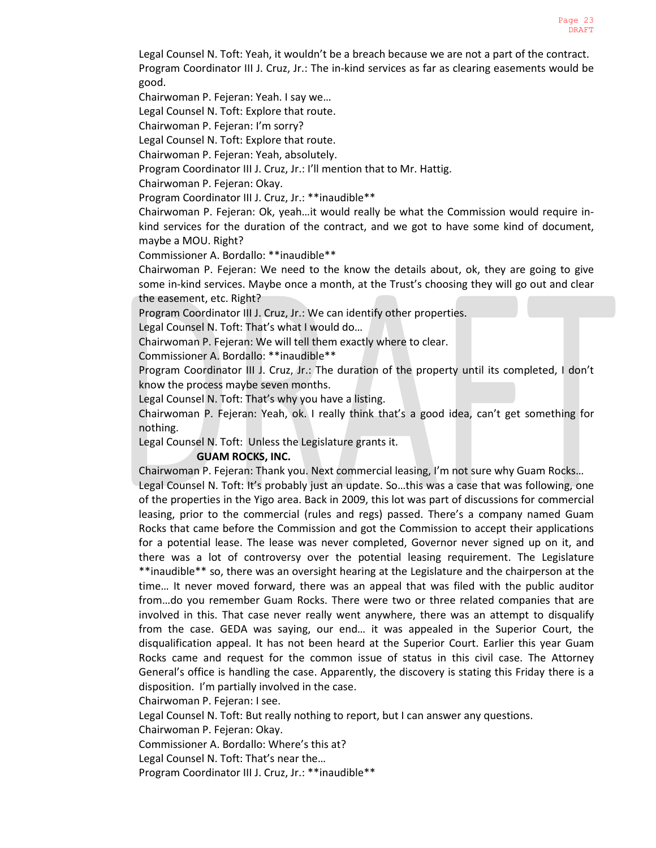Legal Counsel N. Toft: Yeah, it wouldn't be a breach because we are not a part of the contract. Program Coordinator III J. Cruz, Jr.: The in-kind services as far as clearing easements would be good.

Chairwoman P. Fejeran: Yeah. I say we…

Legal Counsel N. Toft: Explore that route.

Chairwoman P. Fejeran: I'm sorry?

Legal Counsel N. Toft: Explore that route.

Chairwoman P. Fejeran: Yeah, absolutely.

Program Coordinator III J. Cruz, Jr.: I'll mention that to Mr. Hattig.

Chairwoman P. Fejeran: Okay.

Program Coordinator III J. Cruz, Jr.: \*\*inaudible\*\*

Chairwoman P. Fejeran: Ok, yeah…it would really be what the Commission would require inkind services for the duration of the contract, and we got to have some kind of document, maybe a MOU. Right?

Commissioner A. Bordallo: \*\*inaudible\*\*

Chairwoman P. Fejeran: We need to the know the details about, ok, they are going to give some in-kind services. Maybe once a month, at the Trust's choosing they will go out and clear the easement, etc. Right?

Program Coordinator III J. Cruz, Jr.: We can identify other properties.

Legal Counsel N. Toft: That's what I would do…

Chairwoman P. Fejeran: We will tell them exactly where to clear.

Commissioner A. Bordallo: \*\*inaudible\*\*

Program Coordinator III J. Cruz, Jr.: The duration of the property until its completed, I don't know the process maybe seven months.

Legal Counsel N. Toft: That's why you have a listing.

Chairwoman P. Fejeran: Yeah, ok. I really think that's a good idea, can't get something for nothing.

Legal Counsel N. Toft: Unless the Legislature grants it.

### **GUAM ROCKS, INC.**

Chairwoman P. Fejeran: Thank you. Next commercial leasing, I'm not sure why Guam Rocks…

Legal Counsel N. Toft: It's probably just an update. So…this was a case that was following, one of the properties in the Yigo area. Back in 2009, this lot was part of discussions for commercial leasing, prior to the commercial (rules and regs) passed. There's a company named Guam Rocks that came before the Commission and got the Commission to accept their applications for a potential lease. The lease was never completed, Governor never signed up on it, and there was a lot of controversy over the potential leasing requirement. The Legislature \*\*inaudible\*\* so, there was an oversight hearing at the Legislature and the chairperson at the time… It never moved forward, there was an appeal that was filed with the public auditor from…do you remember Guam Rocks. There were two or three related companies that are involved in this. That case never really went anywhere, there was an attempt to disqualify from the case. GEDA was saying, our end… it was appealed in the Superior Court, the disqualification appeal. It has not been heard at the Superior Court. Earlier this year Guam Rocks came and request for the common issue of status in this civil case. The Attorney General's office is handling the case. Apparently, the discovery is stating this Friday there is a disposition. I'm partially involved in the case.

Chairwoman P. Fejeran: I see.

Legal Counsel N. Toft: But really nothing to report, but I can answer any questions.

Chairwoman P. Fejeran: Okay.

Commissioner A. Bordallo: Where's this at?

Legal Counsel N. Toft: That's near the…

Program Coordinator III J. Cruz, Jr.: \*\* inaudible \*\*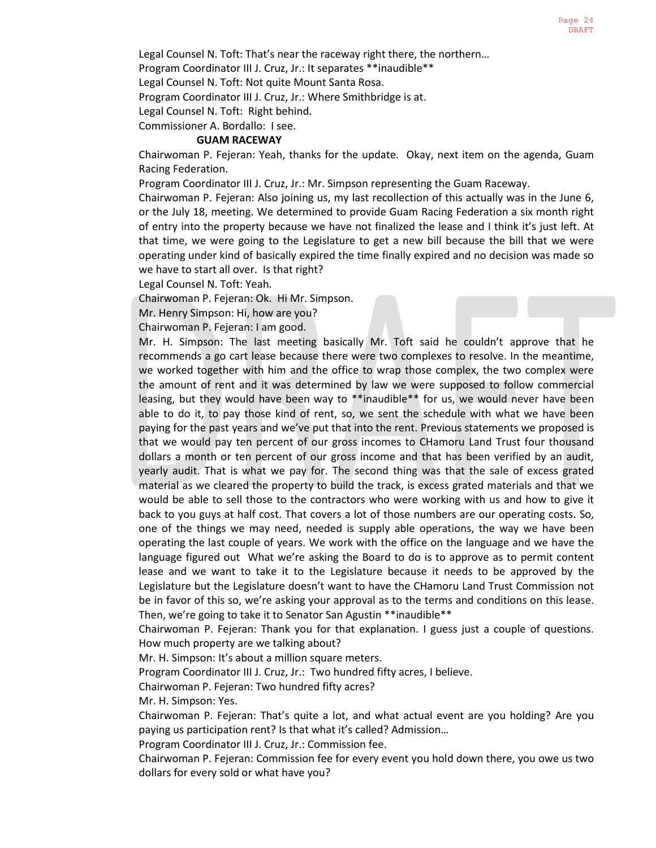Legal Counsel N. Toft: That's near the raceway right there, the northern…

Program Coordinator III J. Cruz, Jr.: It separates \*\*inaudible\*\*

Legal Counsel N. Toft: Not quite Mount Santa Rosa.

Program Coordinator III J. Cruz, Jr.: Where Smithbridge is at.

Legal Counsel N. Toft: Right behind.

Commissioner A. Bordallo: I see.

### **GUAM RACEWAY**

Chairwoman P. Fejeran: Yeah, thanks for the update. Okay, next item on the agenda, Guam Racing Federation.

Program Coordinator III J. Cruz, Jr.: Mr. Simpson representing the Guam Raceway.

Chairwoman P. Fejeran: Also joining us, my last recollection of this actually was in the June 6, or the July 18, meeting. We determined to provide Guam Racing Federation a six month right of entry into the property because we have not finalized the lease and I think it's just left. At that time, we were going to the Legislature to get a new bill because the bill that we were operating under kind of basically expired the time finally expired and no decision was made so we have to start all over. Is that right?

Legal Counsel N. Toft: Yeah.

Chairwoman P. Fejeran: Ok. Hi Mr. Simpson.

Mr. Henry Simpson: Hi, how are you?

Chairwoman P. Fejeran: I am good.

Mr. H. Simpson: The last meeting basically Mr. Toft said he couldn't approve that he recommends a go cart lease because there were two complexes to resolve. In the meantime, we worked together with him and the office to wrap those complex, the two complex were the amount of rent and it was determined by law we were supposed to follow commercial leasing, but they would have been way to \*\*inaudible\*\* for us, we would never have been able to do it, to pay those kind of rent, so, we sent the schedule with what we have been paying for the past years and we've put that into the rent. Previous statements we proposed is that we would pay ten percent of our gross incomes to CHamoru Land Trust four thousand dollars a month or ten percent of our gross income and that has been verified by an audit, yearly audit. That is what we pay for. The second thing was that the sale of excess grated material as we cleared the property to build the track, is excess grated materials and that we would be able to sell those to the contractors who were working with us and how to give it back to you guys at half cost. That covers a lot of those numbers are our operating costs. So, one of the things we may need, needed is supply able operations, the way we have been operating the last couple of years. We work with the office on the language and we have the language figured out What we're asking the Board to do is to approve as to permit content lease and we want to take it to the Legislature because it needs to be approved by the Legislature but the Legislature doesn't want to have the CHamoru Land Trust Commission not be in favor of this so, we're asking your approval as to the terms and conditions on this lease. Then, we're going to take it to Senator San Agustin \*\*inaudible\*\*

Chairwoman P. Fejeran: Thank you for that explanation. I guess just a couple of questions. How much property are we talking about?

Mr. H. Simpson: It's about a million square meters.

Program Coordinator III J. Cruz, Jr.: Two hundred fifty acres, I believe.

Chairwoman P. Fejeran: Two hundred fifty acres?

Mr. H. Simpson: Yes.

Chairwoman P. Fejeran: That's quite a lot, and what actual event are you holding? Are you paying us participation rent? Is that what it's called? Admission…

Program Coordinator III J. Cruz, Jr.: Commission fee.

Chairwoman P. Fejeran: Commission fee for every event you hold down there, you owe us two dollars for every sold or what have you?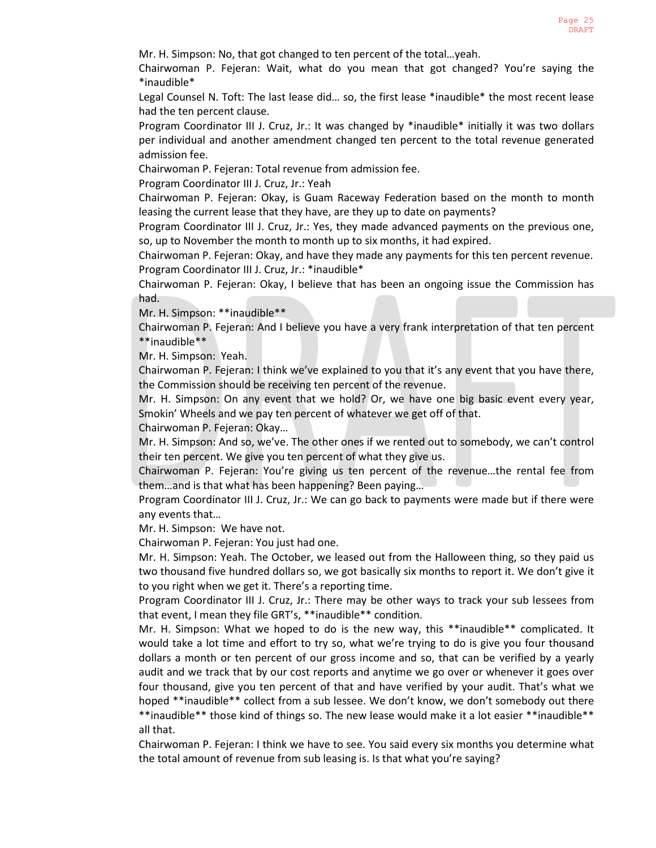Mr. H. Simpson: No, that got changed to ten percent of the total…yeah.

Chairwoman P. Fejeran: Wait, what do you mean that got changed? You're saying the \*inaudible\*

Legal Counsel N. Toft: The last lease did… so, the first lease \*inaudible\* the most recent lease had the ten percent clause.

Program Coordinator III J. Cruz, Jr.: It was changed by \*inaudible\* initially it was two dollars per individual and another amendment changed ten percent to the total revenue generated admission fee.

Chairwoman P. Fejeran: Total revenue from admission fee.

Program Coordinator III J. Cruz, Jr.: Yeah

Chairwoman P. Fejeran: Okay, is Guam Raceway Federation based on the month to month leasing the current lease that they have, are they up to date on payments?

Program Coordinator III J. Cruz, Jr.: Yes, they made advanced payments on the previous one, so, up to November the month to month up to six months, it had expired.

Chairwoman P. Fejeran: Okay, and have they made any payments for this ten percent revenue. Program Coordinator III J. Cruz, Jr.: \*inaudible\*

Chairwoman P. Fejeran: Okay, I believe that has been an ongoing issue the Commission has had.

Mr. H. Simpson: \*\*inaudible\*\*

Chairwoman P. Fejeran: And I believe you have a very frank interpretation of that ten percent \*\*inaudible\*\*

Mr. H. Simpson: Yeah.

Chairwoman P. Fejeran: I think we've explained to you that it's any event that you have there, the Commission should be receiving ten percent of the revenue.

Mr. H. Simpson: On any event that we hold? Or, we have one big basic event every year, Smokin' Wheels and we pay ten percent of whatever we get off of that.

Chairwoman P. Fejeran: Okay…

Mr. H. Simpson: And so, we've. The other ones if we rented out to somebody, we can't control their ten percent. We give you ten percent of what they give us.

Chairwoman P. Fejeran: You're giving us ten percent of the revenue…the rental fee from them…and is that what has been happening? Been paying…

Program Coordinator III J. Cruz, Jr.: We can go back to payments were made but if there were any events that…

Mr. H. Simpson: We have not.

Chairwoman P. Fejeran: You just had one.

Mr. H. Simpson: Yeah. The October, we leased out from the Halloween thing, so they paid us two thousand five hundred dollars so, we got basically six months to report it. We don't give it to you right when we get it. There's a reporting time.

Program Coordinator III J. Cruz, Jr.: There may be other ways to track your sub lessees from that event, I mean they file GRT's, \*\*inaudible\*\* condition.

Mr. H. Simpson: What we hoped to do is the new way, this \*\*inaudible\*\* complicated. It would take a lot time and effort to try so, what we're trying to do is give you four thousand dollars a month or ten percent of our gross income and so, that can be verified by a yearly audit and we track that by our cost reports and anytime we go over or whenever it goes over four thousand, give you ten percent of that and have verified by your audit. That's what we hoped \*\*inaudible\*\* collect from a sub lessee. We don't know, we don't somebody out there \*\*inaudible\*\* those kind of things so. The new lease would make it a lot easier \*\*inaudible\*\* all that.

Chairwoman P. Fejeran: I think we have to see. You said every six months you determine what the total amount of revenue from sub leasing is. Is that what you're saying?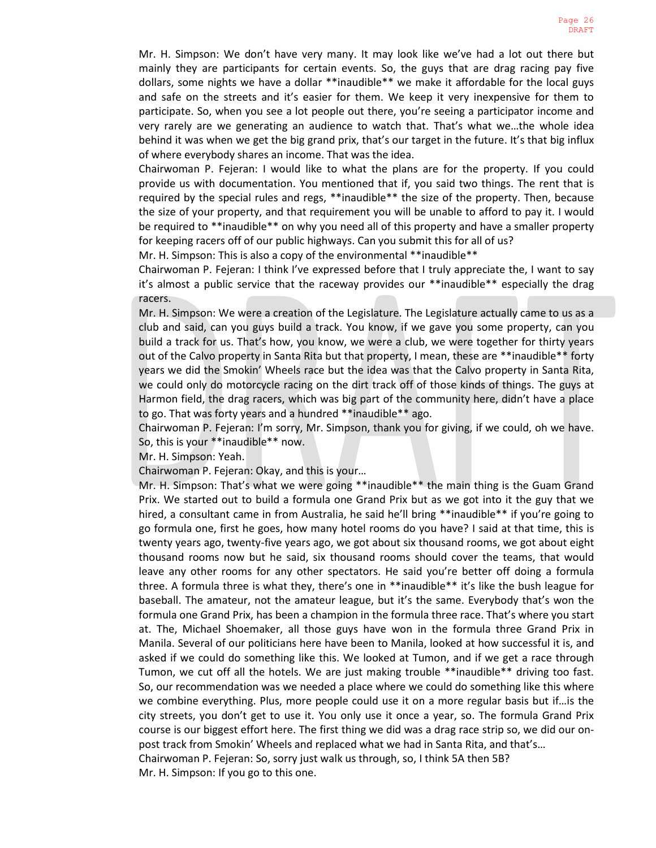Mr. H. Simpson: We don't have very many. It may look like we've had a lot out there but mainly they are participants for certain events. So, the guys that are drag racing pay five dollars, some nights we have a dollar \*\*inaudible\*\* we make it affordable for the local guys and safe on the streets and it's easier for them. We keep it very inexpensive for them to participate. So, when you see a lot people out there, you're seeing a participator income and very rarely are we generating an audience to watch that. That's what we…the whole idea behind it was when we get the big grand prix, that's our target in the future. It's that big influx of where everybody shares an income. That was the idea.

Chairwoman P. Fejeran: I would like to what the plans are for the property. If you could provide us with documentation. You mentioned that if, you said two things. The rent that is required by the special rules and regs, \*\*inaudible\*\* the size of the property. Then, because the size of your property, and that requirement you will be unable to afford to pay it. I would be required to \*\*inaudible\*\* on why you need all of this property and have a smaller property for keeping racers off of our public highways. Can you submit this for all of us?

Mr. H. Simpson: This is also a copy of the environmental \*\*inaudible\*\*

Chairwoman P. Fejeran: I think I've expressed before that I truly appreciate the, I want to say it's almost a public service that the raceway provides our \*\*inaudible\*\* especially the drag racers.

Mr. H. Simpson: We were a creation of the Legislature. The Legislature actually came to us as a club and said, can you guys build a track. You know, if we gave you some property, can you build a track for us. That's how, you know, we were a club, we were together for thirty years out of the Calvo property in Santa Rita but that property, I mean, these are \*\*inaudible\*\* forty years we did the Smokin' Wheels race but the idea was that the Calvo property in Santa Rita, we could only do motorcycle racing on the dirt track off of those kinds of things. The guys at Harmon field, the drag racers, which was big part of the community here, didn't have a place to go. That was forty years and a hundred \*\*inaudible\*\* ago.

Chairwoman P. Fejeran: I'm sorry, Mr. Simpson, thank you for giving, if we could, oh we have. So, this is your \*\*inaudible\*\* now.

Mr. H. Simpson: Yeah.

Chairwoman P. Fejeran: Okay, and this is your…

Mr. H. Simpson: That's what we were going \*\*inaudible\*\* the main thing is the Guam Grand Prix. We started out to build a formula one Grand Prix but as we got into it the guy that we hired, a consultant came in from Australia, he said he'll bring \*\*inaudible\*\* if you're going to go formula one, first he goes, how many hotel rooms do you have? I said at that time, this is twenty years ago, twenty-five years ago, we got about six thousand rooms, we got about eight thousand rooms now but he said, six thousand rooms should cover the teams, that would leave any other rooms for any other spectators. He said you're better off doing a formula three. A formula three is what they, there's one in \*\*inaudible\*\* it's like the bush league for baseball. The amateur, not the amateur league, but it's the same. Everybody that's won the formula one Grand Prix, has been a champion in the formula three race. That's where you start at. The, Michael Shoemaker, all those guys have won in the formula three Grand Prix in Manila. Several of our politicians here have been to Manila, looked at how successful it is, and asked if we could do something like this. We looked at Tumon, and if we get a race through Tumon, we cut off all the hotels. We are just making trouble \*\*inaudible\*\* driving too fast. So, our recommendation was we needed a place where we could do something like this where we combine everything. Plus, more people could use it on a more regular basis but if…is the city streets, you don't get to use it. You only use it once a year, so. The formula Grand Prix course is our biggest effort here. The first thing we did was a drag race strip so, we did our onpost track from Smokin' Wheels and replaced what we had in Santa Rita, and that's… Chairwoman P. Fejeran: So, sorry just walk us through, so, I think 5A then 5B? Mr. H. Simpson: If you go to this one.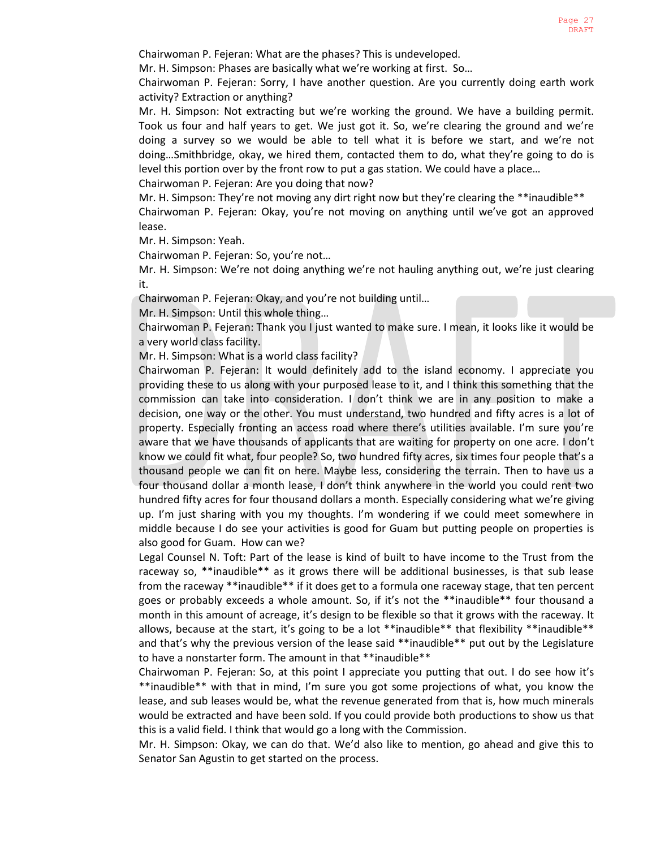Chairwoman P. Fejeran: What are the phases? This is undeveloped.

Mr. H. Simpson: Phases are basically what we're working at first. So…

Chairwoman P. Fejeran: Sorry, I have another question. Are you currently doing earth work activity? Extraction or anything?

Mr. H. Simpson: Not extracting but we're working the ground. We have a building permit. Took us four and half years to get. We just got it. So, we're clearing the ground and we're doing a survey so we would be able to tell what it is before we start, and we're not doing…Smithbridge, okay, we hired them, contacted them to do, what they're going to do is level this portion over by the front row to put a gas station. We could have a place…

Chairwoman P. Fejeran: Are you doing that now?

Mr. H. Simpson: They're not moving any dirt right now but they're clearing the \*\*inaudible\*\* Chairwoman P. Fejeran: Okay, you're not moving on anything until we've got an approved lease.

Mr. H. Simpson: Yeah.

Chairwoman P. Fejeran: So, you're not…

Mr. H. Simpson: We're not doing anything we're not hauling anything out, we're just clearing it.

Chairwoman P. Fejeran: Okay, and you're not building until…

Mr. H. Simpson: Until this whole thing…

Chairwoman P. Fejeran: Thank you I just wanted to make sure. I mean, it looks like it would be a very world class facility.

Mr. H. Simpson: What is a world class facility?

Chairwoman P. Fejeran: It would definitely add to the island economy. I appreciate you providing these to us along with your purposed lease to it, and I think this something that the commission can take into consideration. I don't think we are in any position to make a decision, one way or the other. You must understand, two hundred and fifty acres is a lot of property. Especially fronting an access road where there's utilities available. I'm sure you're aware that we have thousands of applicants that are waiting for property on one acre. I don't know we could fit what, four people? So, two hundred fifty acres, six times four people that's a thousand people we can fit on here. Maybe less, considering the terrain. Then to have us a four thousand dollar a month lease, I don't think anywhere in the world you could rent two hundred fifty acres for four thousand dollars a month. Especially considering what we're giving up. I'm just sharing with you my thoughts. I'm wondering if we could meet somewhere in middle because I do see your activities is good for Guam but putting people on properties is also good for Guam. How can we?

Legal Counsel N. Toft: Part of the lease is kind of built to have income to the Trust from the raceway so, \*\*inaudible\*\* as it grows there will be additional businesses, is that sub lease from the raceway \*\*inaudible\*\* if it does get to a formula one raceway stage, that ten percent goes or probably exceeds a whole amount. So, if it's not the \*\*inaudible\*\* four thousand a month in this amount of acreage, it's design to be flexible so that it grows with the raceway. It allows, because at the start, it's going to be a lot \*\*inaudible\*\* that flexibility \*\*inaudible\*\* and that's why the previous version of the lease said \*\*inaudible\*\* put out by the Legislature to have a nonstarter form. The amount in that \*\*inaudible\*\*

Chairwoman P. Fejeran: So, at this point I appreciate you putting that out. I do see how it's \*\*inaudible\*\* with that in mind, I'm sure you got some projections of what, you know the lease, and sub leases would be, what the revenue generated from that is, how much minerals would be extracted and have been sold. If you could provide both productions to show us that this is a valid field. I think that would go a long with the Commission.

Mr. H. Simpson: Okay, we can do that. We'd also like to mention, go ahead and give this to Senator San Agustin to get started on the process.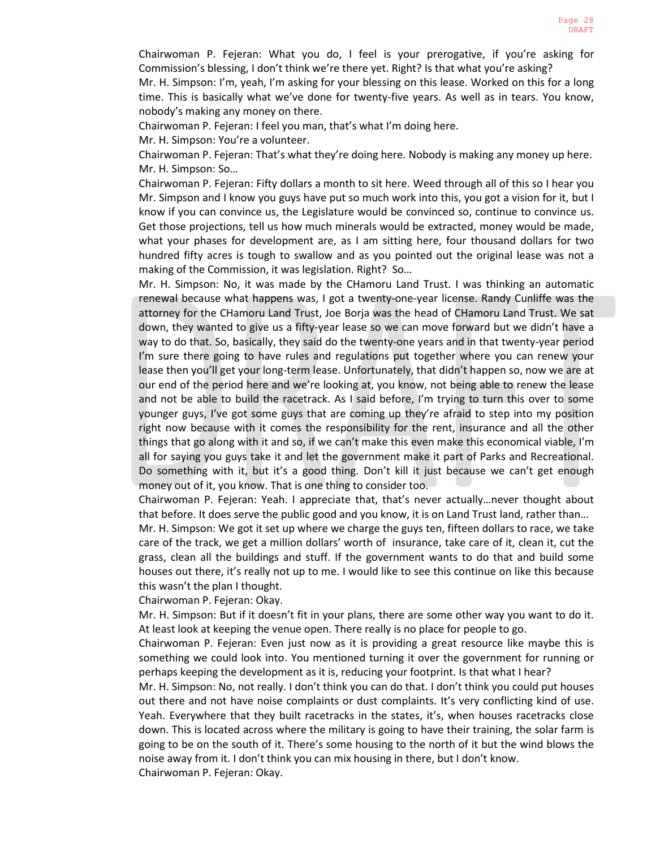Chairwoman P. Fejeran: What you do, I feel is your prerogative, if you're asking for Commission's blessing, I don't think we're there yet. Right? Is that what you're asking?

Mr. H. Simpson: I'm, yeah, I'm asking for your blessing on this lease. Worked on this for a long time. This is basically what we've done for twenty-five years. As well as in tears. You know, nobody's making any money on there.

Chairwoman P. Fejeran: I feel you man, that's what I'm doing here.

Mr. H. Simpson: You're a volunteer.

Chairwoman P. Fejeran: That's what they're doing here. Nobody is making any money up here. Mr. H. Simpson: So…

Chairwoman P. Fejeran: Fifty dollars a month to sit here. Weed through all of this so I hear you Mr. Simpson and I know you guys have put so much work into this, you got a vision for it, but I know if you can convince us, the Legislature would be convinced so, continue to convince us. Get those projections, tell us how much minerals would be extracted, money would be made, what your phases for development are, as I am sitting here, four thousand dollars for two hundred fifty acres is tough to swallow and as you pointed out the original lease was not a making of the Commission, it was legislation. Right? So…

Mr. H. Simpson: No, it was made by the CHamoru Land Trust. I was thinking an automatic renewal because what happens was, I got a twenty-one-year license. Randy Cunliffe was the attorney for the CHamoru Land Trust, Joe Borja was the head of CHamoru Land Trust. We sat down, they wanted to give us a fifty-year lease so we can move forward but we didn't have a way to do that. So, basically, they said do the twenty-one years and in that twenty-year period I'm sure there going to have rules and regulations put together where you can renew your lease then you'll get your long-term lease. Unfortunately, that didn't happen so, now we are at our end of the period here and we're looking at, you know, not being able to renew the lease and not be able to build the racetrack. As I said before, I'm trying to turn this over to some younger guys, I've got some guys that are coming up they're afraid to step into my position right now because with it comes the responsibility for the rent, insurance and all the other things that go along with it and so, if we can't make this even make this economical viable, I'm all for saying you guys take it and let the government make it part of Parks and Recreational. Do something with it, but it's a good thing. Don't kill it just because we can't get enough money out of it, you know. That is one thing to consider too.

Chairwoman P. Fejeran: Yeah. I appreciate that, that's never actually…never thought about that before. It does serve the public good and you know, it is on Land Trust land, rather than…

Mr. H. Simpson: We got it set up where we charge the guys ten, fifteen dollars to race, we take care of the track, we get a million dollars' worth of insurance, take care of it, clean it, cut the grass, clean all the buildings and stuff. If the government wants to do that and build some houses out there, it's really not up to me. I would like to see this continue on like this because this wasn't the plan I thought.

Chairwoman P. Fejeran: Okay.

Mr. H. Simpson: But if it doesn't fit in your plans, there are some other way you want to do it. At least look at keeping the venue open. There really is no place for people to go.

Chairwoman P. Fejeran: Even just now as it is providing a great resource like maybe this is something we could look into. You mentioned turning it over the government for running or perhaps keeping the development as it is, reducing your footprint. Is that what I hear?

Mr. H. Simpson: No, not really. I don't think you can do that. I don't think you could put houses out there and not have noise complaints or dust complaints. It's very conflicting kind of use. Yeah. Everywhere that they built racetracks in the states, it's, when houses racetracks close down. This is located across where the military is going to have their training, the solar farm is going to be on the south of it. There's some housing to the north of it but the wind blows the noise away from it. I don't think you can mix housing in there, but I don't know. Chairwoman P. Fejeran: Okay.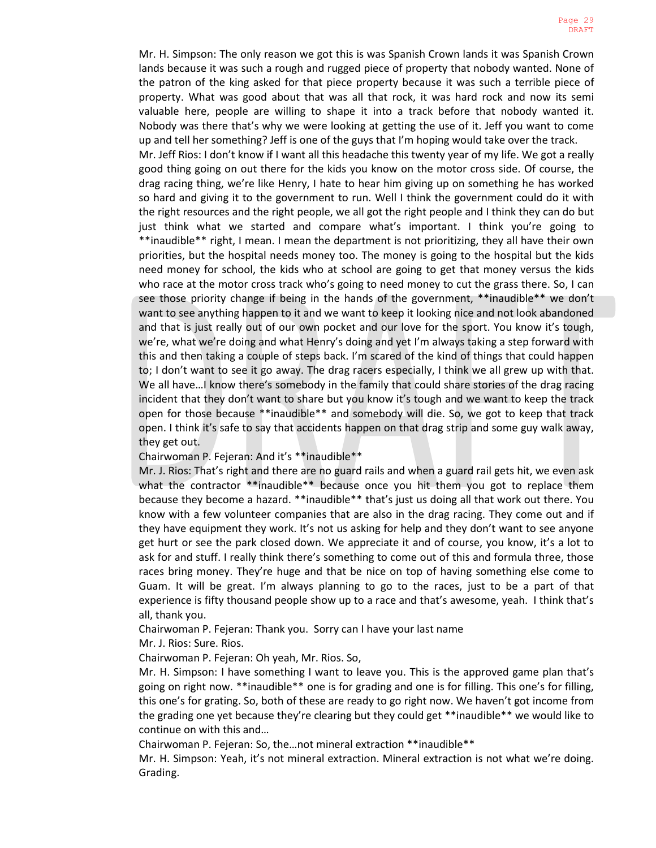Mr. H. Simpson: The only reason we got this is was Spanish Crown lands it was Spanish Crown lands because it was such a rough and rugged piece of property that nobody wanted. None of the patron of the king asked for that piece property because it was such a terrible piece of property. What was good about that was all that rock, it was hard rock and now its semi valuable here, people are willing to shape it into a track before that nobody wanted it. Nobody was there that's why we were looking at getting the use of it. Jeff you want to come up and tell her something? Jeff is one of the guys that I'm hoping would take over the track.

Mr. Jeff Rios: I don't know if I want all this headache this twenty year of my life. We got a really good thing going on out there for the kids you know on the motor cross side. Of course, the drag racing thing, we're like Henry, I hate to hear him giving up on something he has worked so hard and giving it to the government to run. Well I think the government could do it with the right resources and the right people, we all got the right people and I think they can do but just think what we started and compare what's important. I think you're going to \*\*inaudible\*\* right, I mean. I mean the department is not prioritizing, they all have their own priorities, but the hospital needs money too. The money is going to the hospital but the kids need money for school, the kids who at school are going to get that money versus the kids who race at the motor cross track who's going to need money to cut the grass there. So, I can see those priority change if being in the hands of the government, \*\*inaudible\*\* we don't want to see anything happen to it and we want to keep it looking nice and not look abandoned and that is just really out of our own pocket and our love for the sport. You know it's tough, we're, what we're doing and what Henry's doing and yet I'm always taking a step forward with this and then taking a couple of steps back. I'm scared of the kind of things that could happen to; I don't want to see it go away. The drag racers especially, I think we all grew up with that. We all have…I know there's somebody in the family that could share stories of the drag racing incident that they don't want to share but you know it's tough and we want to keep the track open for those because \*\*inaudible\*\* and somebody will die. So, we got to keep that track open. I think it's safe to say that accidents happen on that drag strip and some guy walk away, they get out.

Chairwoman P. Fejeran: And it's \*\*inaudible\*\*

Mr. J. Rios: That's right and there are no guard rails and when a guard rail gets hit, we even ask what the contractor \*\*inaudible\*\* because once you hit them you got to replace them because they become a hazard. \*\*inaudible\*\* that's just us doing all that work out there. You know with a few volunteer companies that are also in the drag racing. They come out and if they have equipment they work. It's not us asking for help and they don't want to see anyone get hurt or see the park closed down. We appreciate it and of course, you know, it's a lot to ask for and stuff. I really think there's something to come out of this and formula three, those races bring money. They're huge and that be nice on top of having something else come to Guam. It will be great. I'm always planning to go to the races, just to be a part of that experience is fifty thousand people show up to a race and that's awesome, yeah. I think that's all, thank you.

Chairwoman P. Fejeran: Thank you. Sorry can I have your last name

Mr. J. Rios: Sure. Rios.

Chairwoman P. Fejeran: Oh yeah, Mr. Rios. So,

Mr. H. Simpson: I have something I want to leave you. This is the approved game plan that's going on right now. \*\*inaudible\*\* one is for grading and one is for filling. This one's for filling, this one's for grating. So, both of these are ready to go right now. We haven't got income from the grading one yet because they're clearing but they could get \*\*inaudible\*\* we would like to continue on with this and…

Chairwoman P. Fejeran: So, the…not mineral extraction \*\*inaudible\*\*

Mr. H. Simpson: Yeah, it's not mineral extraction. Mineral extraction is not what we're doing. Grading.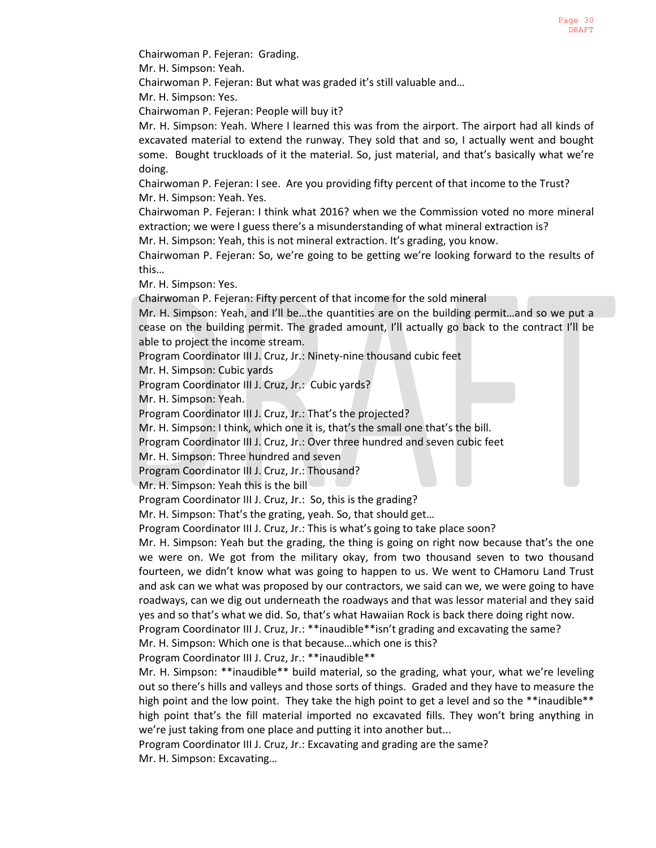Chairwoman P. Fejeran: Grading.

Mr. H. Simpson: Yeah.

Chairwoman P. Fejeran: But what was graded it's still valuable and…

Mr. H. Simpson: Yes.

Chairwoman P. Fejeran: People will buy it?

Mr. H. Simpson: Yeah. Where I learned this was from the airport. The airport had all kinds of excavated material to extend the runway. They sold that and so, I actually went and bought some. Bought truckloads of it the material. So, just material, and that's basically what we're doing.

Chairwoman P. Fejeran: I see. Are you providing fifty percent of that income to the Trust? Mr. H. Simpson: Yeah. Yes.

Chairwoman P. Fejeran: I think what 2016? when we the Commission voted no more mineral extraction; we were I guess there's a misunderstanding of what mineral extraction is?

Mr. H. Simpson: Yeah, this is not mineral extraction. It's grading, you know.

Chairwoman P. Fejeran: So, we're going to be getting we're looking forward to the results of this…

Mr. H. Simpson: Yes.

Chairwoman P. Fejeran: Fifty percent of that income for the sold mineral

Mr. H. Simpson: Yeah, and I'll be…the quantities are on the building permit…and so we put a cease on the building permit. The graded amount, I'll actually go back to the contract I'll be able to project the income stream.

Program Coordinator III J. Cruz, Jr.: Ninety-nine thousand cubic feet

Mr. H. Simpson: Cubic yards

Program Coordinator III J. Cruz, Jr.: Cubic yards?

Mr. H. Simpson: Yeah.

Program Coordinator III J. Cruz, Jr.: That's the projected?

Mr. H. Simpson: I think, which one it is, that's the small one that's the bill.

Program Coordinator III J. Cruz, Jr.: Over three hundred and seven cubic feet

Mr. H. Simpson: Three hundred and seven

Program Coordinator III J. Cruz, Jr.: Thousand?

Mr. H. Simpson: Yeah this is the bill

Program Coordinator III J. Cruz, Jr.: So, this is the grading?

Mr. H. Simpson: That's the grating, yeah. So, that should get…

Program Coordinator III J. Cruz, Jr.: This is what's going to take place soon?

Mr. H. Simpson: Yeah but the grading, the thing is going on right now because that's the one we were on. We got from the military okay, from two thousand seven to two thousand fourteen, we didn't know what was going to happen to us. We went to CHamoru Land Trust and ask can we what was proposed by our contractors, we said can we, we were going to have roadways, can we dig out underneath the roadways and that was lessor material and they said yes and so that's what we did. So, that's what Hawaiian Rock is back there doing right now.

Program Coordinator III J. Cruz, Jr.: \*\*inaudible\*\*isn't grading and excavating the same?

Mr. H. Simpson: Which one is that because…which one is this?

Program Coordinator III J. Cruz, Jr.: \*\*inaudible\*\*

Mr. H. Simpson: \*\*inaudible\*\* build material, so the grading, what your, what we're leveling out so there's hills and valleys and those sorts of things. Graded and they have to measure the high point and the low point. They take the high point to get a level and so the \*\*inaudible\*\* high point that's the fill material imported no excavated fills. They won't bring anything in we're just taking from one place and putting it into another but...

Program Coordinator III J. Cruz, Jr.: Excavating and grading are the same? Mr. H. Simpson: Excavating…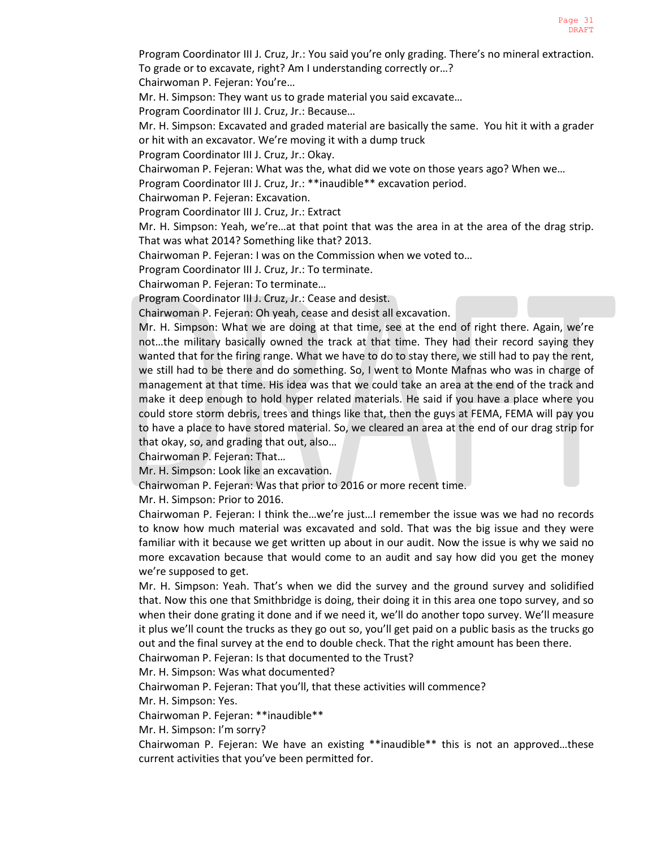Program Coordinator III J. Cruz, Jr.: You said you're only grading. There's no mineral extraction. To grade or to excavate, right? Am I understanding correctly or…?

Chairwoman P. Fejeran: You're…

Mr. H. Simpson: They want us to grade material you said excavate…

Program Coordinator III J. Cruz, Jr.: Because…

Mr. H. Simpson: Excavated and graded material are basically the same. You hit it with a grader or hit with an excavator. We're moving it with a dump truck

Program Coordinator III J. Cruz, Jr.: Okay.

Chairwoman P. Fejeran: What was the, what did we vote on those years ago? When we…

Program Coordinator III J. Cruz, Jr.: \*\*inaudible\*\* excavation period.

Chairwoman P. Fejeran: Excavation.

Program Coordinator III J. Cruz, Jr.: Extract

Mr. H. Simpson: Yeah, we're…at that point that was the area in at the area of the drag strip. That was what 2014? Something like that? 2013.

Chairwoman P. Fejeran: I was on the Commission when we voted to…

Program Coordinator III J. Cruz, Jr.: To terminate.

Chairwoman P. Fejeran: To terminate…

Program Coordinator III J. Cruz, Jr.: Cease and desist.

Chairwoman P. Fejeran: Oh yeah, cease and desist all excavation.

Mr. H. Simpson: What we are doing at that time, see at the end of right there. Again, we're not…the military basically owned the track at that time. They had their record saying they wanted that for the firing range. What we have to do to stay there, we still had to pay the rent, we still had to be there and do something. So, I went to Monte Mafnas who was in charge of management at that time. His idea was that we could take an area at the end of the track and make it deep enough to hold hyper related materials. He said if you have a place where you could store storm debris, trees and things like that, then the guys at FEMA, FEMA will pay you to have a place to have stored material. So, we cleared an area at the end of our drag strip for that okay, so, and grading that out, also…

Chairwoman P. Fejeran: That…

Mr. H. Simpson: Look like an excavation.

Chairwoman P. Fejeran: Was that prior to 2016 or more recent time.

Mr. H. Simpson: Prior to 2016.

Chairwoman P. Fejeran: I think the…we're just…I remember the issue was we had no records to know how much material was excavated and sold. That was the big issue and they were familiar with it because we get written up about in our audit. Now the issue is why we said no more excavation because that would come to an audit and say how did you get the money we're supposed to get.

Mr. H. Simpson: Yeah. That's when we did the survey and the ground survey and solidified that. Now this one that Smithbridge is doing, their doing it in this area one topo survey, and so when their done grating it done and if we need it, we'll do another topo survey. We'll measure it plus we'll count the trucks as they go out so, you'll get paid on a public basis as the trucks go out and the final survey at the end to double check. That the right amount has been there.

Chairwoman P. Fejeran: Is that documented to the Trust?

Mr. H. Simpson: Was what documented?

Chairwoman P. Fejeran: That you'll, that these activities will commence?

Mr. H. Simpson: Yes.

Chairwoman P. Fejeran: \*\*inaudible\*\*

Mr. H. Simpson: I'm sorry?

Chairwoman P. Fejeran: We have an existing \*\*inaudible\*\* this is not an approved…these current activities that you've been permitted for.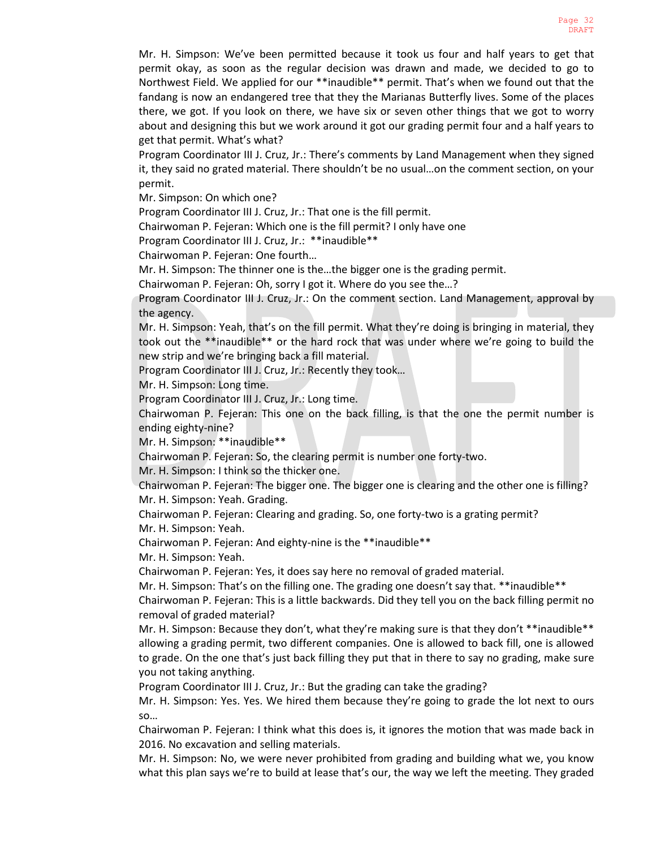Mr. H. Simpson: We've been permitted because it took us four and half years to get that permit okay, as soon as the regular decision was drawn and made, we decided to go to Northwest Field. We applied for our \*\*inaudible\*\* permit. That's when we found out that the fandang is now an endangered tree that they the Marianas Butterfly lives. Some of the places there, we got. If you look on there, we have six or seven other things that we got to worry about and designing this but we work around it got our grading permit four and a half years to get that permit. What's what?

Program Coordinator III J. Cruz, Jr.: There's comments by Land Management when they signed it, they said no grated material. There shouldn't be no usual…on the comment section, on your permit.

Mr. Simpson: On which one?

Program Coordinator III J. Cruz, Jr.: That one is the fill permit.

Chairwoman P. Fejeran: Which one is the fill permit? I only have one

Program Coordinator III J. Cruz, Jr.: \*\*inaudible\*\*

Chairwoman P. Fejeran: One fourth…

Mr. H. Simpson: The thinner one is the…the bigger one is the grading permit.

Chairwoman P. Fejeran: Oh, sorry I got it. Where do you see the…?

Program Coordinator III J. Cruz, Jr.: On the comment section. Land Management, approval by the agency.

Mr. H. Simpson: Yeah, that's on the fill permit. What they're doing is bringing in material, they took out the \*\*inaudible\*\* or the hard rock that was under where we're going to build the new strip and we're bringing back a fill material.

Program Coordinator III J. Cruz, Jr.: Recently they took…

Mr. H. Simpson: Long time.

Program Coordinator III J. Cruz, Jr.: Long time.

Chairwoman P. Fejeran: This one on the back filling, is that the one the permit number is ending eighty-nine?

Mr. H. Simpson: \*\*inaudible\*\*

Chairwoman P. Fejeran: So, the clearing permit is number one forty-two.

Mr. H. Simpson: I think so the thicker one.

Chairwoman P. Fejeran: The bigger one. The bigger one is clearing and the other one is filling? Mr. H. Simpson: Yeah. Grading.

Chairwoman P. Fejeran: Clearing and grading. So, one forty-two is a grating permit? Mr. H. Simpson: Yeah.

Chairwoman P. Fejeran: And eighty-nine is the \*\*inaudible\*\*

Mr. H. Simpson: Yeah.

Chairwoman P. Fejeran: Yes, it does say here no removal of graded material.

Mr. H. Simpson: That's on the filling one. The grading one doesn't say that. \*\*inaudible\*\*

Chairwoman P. Fejeran: This is a little backwards. Did they tell you on the back filling permit no removal of graded material?

Mr. H. Simpson: Because they don't, what they're making sure is that they don't \*\*inaudible\*\* allowing a grading permit, two different companies. One is allowed to back fill, one is allowed to grade. On the one that's just back filling they put that in there to say no grading, make sure you not taking anything.

Program Coordinator III J. Cruz, Jr.: But the grading can take the grading?

Mr. H. Simpson: Yes. Yes. We hired them because they're going to grade the lot next to ours so…

Chairwoman P. Fejeran: I think what this does is, it ignores the motion that was made back in 2016. No excavation and selling materials.

Mr. H. Simpson: No, we were never prohibited from grading and building what we, you know what this plan says we're to build at lease that's our, the way we left the meeting. They graded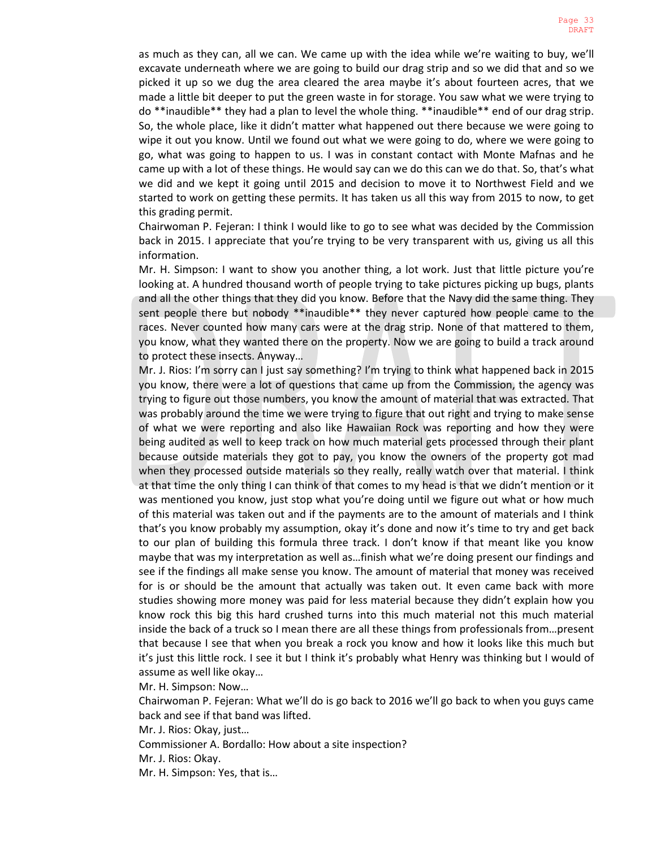as much as they can, all we can. We came up with the idea while we're waiting to buy, we'll excavate underneath where we are going to build our drag strip and so we did that and so we picked it up so we dug the area cleared the area maybe it's about fourteen acres, that we made a little bit deeper to put the green waste in for storage. You saw what we were trying to do \*\*inaudible\*\* they had a plan to level the whole thing. \*\*inaudible\*\* end of our drag strip. So, the whole place, like it didn't matter what happened out there because we were going to wipe it out you know. Until we found out what we were going to do, where we were going to go, what was going to happen to us. I was in constant contact with Monte Mafnas and he came up with a lot of these things. He would say can we do this can we do that. So, that's what we did and we kept it going until 2015 and decision to move it to Northwest Field and we started to work on getting these permits. It has taken us all this way from 2015 to now, to get this grading permit.

Chairwoman P. Fejeran: I think I would like to go to see what was decided by the Commission back in 2015. I appreciate that you're trying to be very transparent with us, giving us all this information.

Mr. H. Simpson: I want to show you another thing, a lot work. Just that little picture you're looking at. A hundred thousand worth of people trying to take pictures picking up bugs, plants and all the other things that they did you know. Before that the Navy did the same thing. They sent people there but nobody \*\*inaudible\*\* they never captured how people came to the races. Never counted how many cars were at the drag strip. None of that mattered to them, you know, what they wanted there on the property. Now we are going to build a track around to protect these insects. Anyway…

Mr. J. Rios: I'm sorry can I just say something? I'm trying to think what happened back in 2015 you know, there were a lot of questions that came up from the Commission, the agency was trying to figure out those numbers, you know the amount of material that was extracted. That was probably around the time we were trying to figure that out right and trying to make sense of what we were reporting and also like Hawaiian Rock was reporting and how they were being audited as well to keep track on how much material gets processed through their plant because outside materials they got to pay, you know the owners of the property got mad when they processed outside materials so they really, really watch over that material. I think at that time the only thing I can think of that comes to my head is that we didn't mention or it was mentioned you know, just stop what you're doing until we figure out what or how much of this material was taken out and if the payments are to the amount of materials and I think that's you know probably my assumption, okay it's done and now it's time to try and get back to our plan of building this formula three track. I don't know if that meant like you know maybe that was my interpretation as well as…finish what we're doing present our findings and see if the findings all make sense you know. The amount of material that money was received for is or should be the amount that actually was taken out. It even came back with more studies showing more money was paid for less material because they didn't explain how you know rock this big this hard crushed turns into this much material not this much material inside the back of a truck so I mean there are all these things from professionals from…present that because I see that when you break a rock you know and how it looks like this much but it's just this little rock. I see it but I think it's probably what Henry was thinking but I would of assume as well like okay…

Mr. H. Simpson: Now…

Chairwoman P. Fejeran: What we'll do is go back to 2016 we'll go back to when you guys came back and see if that band was lifted.

Mr. J. Rios: Okay, just…

Commissioner A. Bordallo: How about a site inspection?

Mr. J. Rios: Okay.

Mr. H. Simpson: Yes, that is…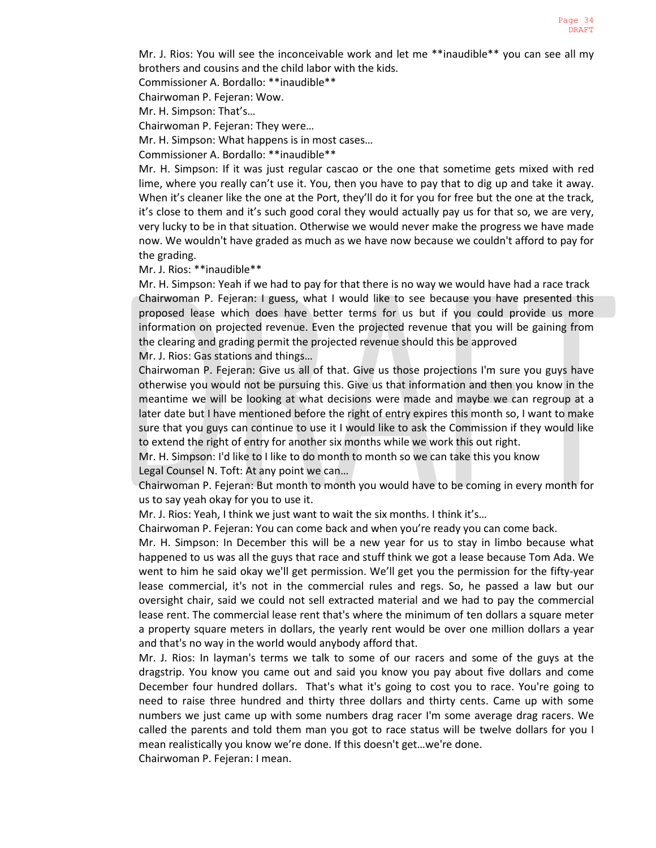Mr. J. Rios: You will see the inconceivable work and let me \*\*inaudible\*\* you can see all my brothers and cousins and the child labor with the kids.

Commissioner A. Bordallo: \*\*inaudible\*\*

Chairwoman P. Fejeran: Wow.

Mr. H. Simpson: That's…

Chairwoman P. Fejeran: They were…

Mr. H. Simpson: What happens is in most cases…

Commissioner A. Bordallo: \*\*inaudible\*\*

Mr. H. Simpson: If it was just regular cascao or the one that sometime gets mixed with red lime, where you really can't use it. You, then you have to pay that to dig up and take it away. When it's cleaner like the one at the Port, they'll do it for you for free but the one at the track, it's close to them and it's such good coral they would actually pay us for that so, we are very, very lucky to be in that situation. Otherwise we would never make the progress we have made now. We wouldn't have graded as much as we have now because we couldn't afford to pay for the grading.

Mr. J. Rios: \*\*inaudible\*\*

Mr. H. Simpson: Yeah if we had to pay for that there is no way we would have had a race track Chairwoman P. Fejeran: I guess, what I would like to see because you have presented this proposed lease which does have better terms for us but if you could provide us more information on projected revenue. Even the projected revenue that you will be gaining from the clearing and grading permit the projected revenue should this be approved

Mr. J. Rios: Gas stations and things…

Chairwoman P. Fejeran: Give us all of that. Give us those projections I'm sure you guys have otherwise you would not be pursuing this. Give us that information and then you know in the meantime we will be looking at what decisions were made and maybe we can regroup at a later date but I have mentioned before the right of entry expires this month so, I want to make sure that you guys can continue to use it I would like to ask the Commission if they would like to extend the right of entry for another six months while we work this out right.

Mr. H. Simpson: I'd like to I like to do month to month so we can take this you know Legal Counsel N. Toft: At any point we can…

Chairwoman P. Fejeran: But month to month you would have to be coming in every month for us to say yeah okay for you to use it.

Mr. J. Rios: Yeah, I think we just want to wait the six months. I think it's…

Chairwoman P. Fejeran: You can come back and when you're ready you can come back.

Mr. H. Simpson: In December this will be a new year for us to stay in limbo because what happened to us was all the guys that race and stuff think we got a lease because Tom Ada. We went to him he said okay we'll get permission. We'll get you the permission for the fifty-year lease commercial, it's not in the commercial rules and regs. So, he passed a law but our oversight chair, said we could not sell extracted material and we had to pay the commercial lease rent. The commercial lease rent that's where the minimum of ten dollars a square meter a property square meters in dollars, the yearly rent would be over one million dollars a year and that's no way in the world would anybody afford that.

Mr. J. Rios: In layman's terms we talk to some of our racers and some of the guys at the dragstrip. You know you came out and said you know you pay about five dollars and come December four hundred dollars. That's what it's going to cost you to race. You're going to need to raise three hundred and thirty three dollars and thirty cents. Came up with some numbers we just came up with some numbers drag racer I'm some average drag racers. We called the parents and told them man you got to race status will be twelve dollars for you I mean realistically you know we're done. If this doesn't get…we're done.

Chairwoman P. Fejeran: I mean.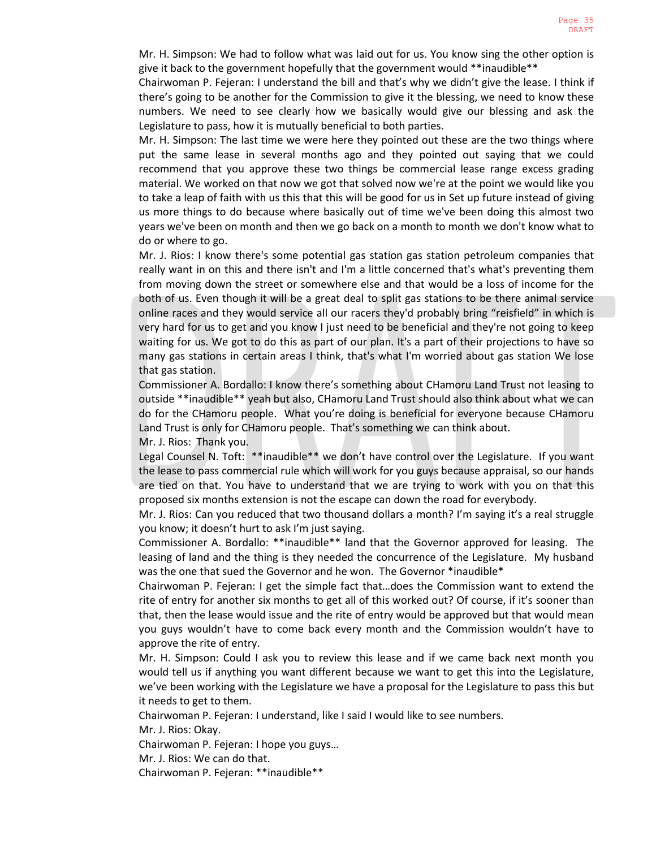Mr. H. Simpson: We had to follow what was laid out for us. You know sing the other option is give it back to the government hopefully that the government would \*\*inaudible\*\*

Chairwoman P. Fejeran: I understand the bill and that's why we didn't give the lease. I think if there's going to be another for the Commission to give it the blessing, we need to know these numbers. We need to see clearly how we basically would give our blessing and ask the Legislature to pass, how it is mutually beneficial to both parties.

Mr. H. Simpson: The last time we were here they pointed out these are the two things where put the same lease in several months ago and they pointed out saying that we could recommend that you approve these two things be commercial lease range excess grading material. We worked on that now we got that solved now we're at the point we would like you to take a leap of faith with us this that this will be good for us in Set up future instead of giving us more things to do because where basically out of time we've been doing this almost two years we've been on month and then we go back on a month to month we don't know what to do or where to go.

Mr. J. Rios: I know there's some potential gas station gas station petroleum companies that really want in on this and there isn't and I'm a little concerned that's what's preventing them from moving down the street or somewhere else and that would be a loss of income for the both of us. Even though it will be a great deal to split gas stations to be there animal service online races and they would service all our racers they'd probably bring "reisfield" in which is very hard for us to get and you know I just need to be beneficial and they're not going to keep waiting for us. We got to do this as part of our plan. It's a part of their projections to have so many gas stations in certain areas I think, that's what I'm worried about gas station We lose that gas station.

Commissioner A. Bordallo: I know there's something about CHamoru Land Trust not leasing to outside \*\*inaudible\*\* yeah but also, CHamoru Land Trust should also think about what we can do for the CHamoru people. What you're doing is beneficial for everyone because CHamoru Land Trust is only for CHamoru people. That's something we can think about. Mr. J. Rios: Thank you.

Legal Counsel N. Toft: \*\*inaudible\*\* we don't have control over the Legislature. If you want the lease to pass commercial rule which will work for you guys because appraisal, so our hands are tied on that. You have to understand that we are trying to work with you on that this proposed six months extension is not the escape can down the road for everybody.

Mr. J. Rios: Can you reduced that two thousand dollars a month? I'm saying it's a real struggle you know; it doesn't hurt to ask I'm just saying.

Commissioner A. Bordallo: \*\*inaudible\*\* land that the Governor approved for leasing. The leasing of land and the thing is they needed the concurrence of the Legislature. My husband was the one that sued the Governor and he won. The Governor \*inaudible\*

Chairwoman P. Fejeran: I get the simple fact that…does the Commission want to extend the rite of entry for another six months to get all of this worked out? Of course, if it's sooner than that, then the lease would issue and the rite of entry would be approved but that would mean you guys wouldn't have to come back every month and the Commission wouldn't have to approve the rite of entry.

Mr. H. Simpson: Could I ask you to review this lease and if we came back next month you would tell us if anything you want different because we want to get this into the Legislature, we've been working with the Legislature we have a proposal for the Legislature to pass this but it needs to get to them.

Chairwoman P. Fejeran: I understand, like I said I would like to see numbers.

Mr. J. Rios: Okay.

Chairwoman P. Fejeran: I hope you guys…

Mr. J. Rios: We can do that.

Chairwoman P. Fejeran: \*\*inaudible\*\*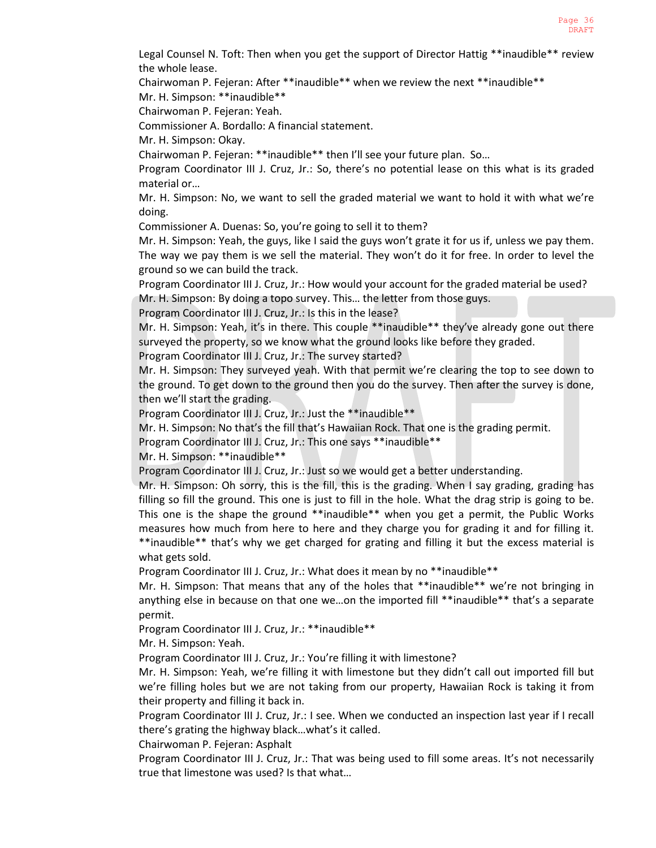Legal Counsel N. Toft: Then when you get the support of Director Hattig \*\*inaudible\*\* review the whole lease.

Chairwoman P. Fejeran: After \*\*inaudible\*\* when we review the next \*\*inaudible\*\*

Mr. H. Simpson: \*\*inaudible\*\*

Chairwoman P. Fejeran: Yeah.

Commissioner A. Bordallo: A financial statement.

Mr. H. Simpson: Okay.

Chairwoman P. Fejeran: \*\*inaudible\*\* then I'll see your future plan. So…

Program Coordinator III J. Cruz, Jr.: So, there's no potential lease on this what is its graded material or…

Mr. H. Simpson: No, we want to sell the graded material we want to hold it with what we're doing.

Commissioner A. Duenas: So, you're going to sell it to them?

Mr. H. Simpson: Yeah, the guys, like I said the guys won't grate it for us if, unless we pay them. The way we pay them is we sell the material. They won't do it for free. In order to level the ground so we can build the track.

Program Coordinator III J. Cruz, Jr.: How would your account for the graded material be used? Mr. H. Simpson: By doing a topo survey. This… the letter from those guys.

Program Coordinator III J. Cruz, Jr.: Is this in the lease?

Mr. H. Simpson: Yeah, it's in there. This couple \*\*inaudible\*\* they've already gone out there surveyed the property, so we know what the ground looks like before they graded.

Program Coordinator III J. Cruz, Jr.: The survey started?

Mr. H. Simpson: They surveyed yeah. With that permit we're clearing the top to see down to the ground. To get down to the ground then you do the survey. Then after the survey is done, then we'll start the grading.

Program Coordinator III J. Cruz, Jr.: Just the \*\*inaudible\*\*

Mr. H. Simpson: No that's the fill that's Hawaiian Rock. That one is the grading permit.

Program Coordinator III J. Cruz, Jr.: This one says \*\*inaudible\*\*

Mr. H. Simpson: \*\*inaudible\*\*

Program Coordinator III J. Cruz, Jr.: Just so we would get a better understanding.

Mr. H. Simpson: Oh sorry, this is the fill, this is the grading. When I say grading, grading has filling so fill the ground. This one is just to fill in the hole. What the drag strip is going to be. This one is the shape the ground \*\*inaudible\*\* when you get a permit, the Public Works measures how much from here to here and they charge you for grading it and for filling it. \*\*inaudible\*\* that's why we get charged for grating and filling it but the excess material is what gets sold.

Program Coordinator III J. Cruz, Jr.: What does it mean by no \*\*inaudible\*\*

Mr. H. Simpson: That means that any of the holes that \*\*inaudible\*\* we're not bringing in anything else in because on that one we…on the imported fill \*\*inaudible\*\* that's a separate permit.

Program Coordinator III J. Cruz, Jr.: \*\*inaudible\*\*

Mr. H. Simpson: Yeah.

Program Coordinator III J. Cruz, Jr.: You're filling it with limestone?

Mr. H. Simpson: Yeah, we're filling it with limestone but they didn't call out imported fill but we're filling holes but we are not taking from our property, Hawaiian Rock is taking it from their property and filling it back in.

Program Coordinator III J. Cruz, Jr.: I see. When we conducted an inspection last year if I recall there's grating the highway black…what's it called.

Chairwoman P. Fejeran: Asphalt

Program Coordinator III J. Cruz, Jr.: That was being used to fill some areas. It's not necessarily true that limestone was used? Is that what…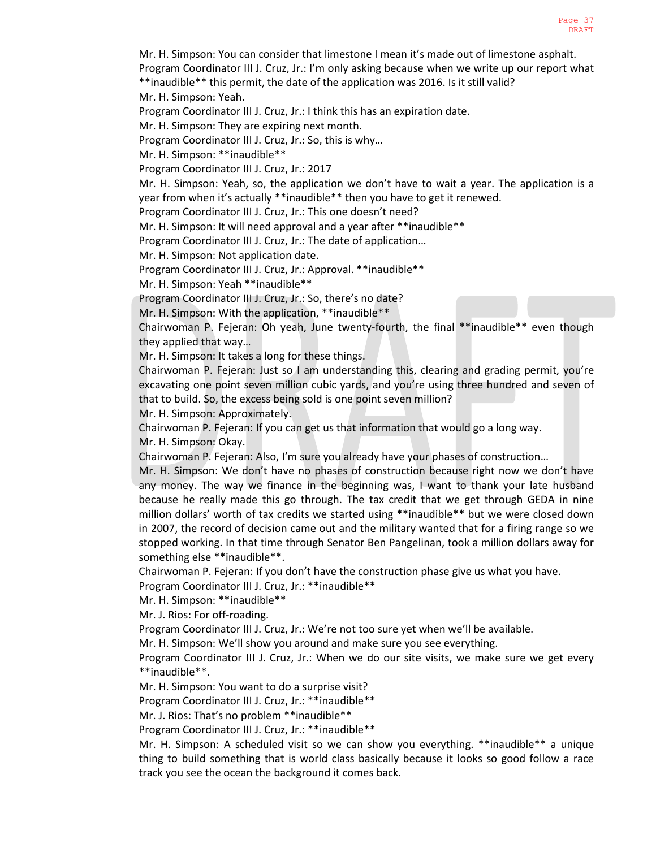Mr. H. Simpson: You can consider that limestone I mean it's made out of limestone asphalt. Program Coordinator III J. Cruz, Jr.: I'm only asking because when we write up our report what \*\*inaudible\*\* this permit, the date of the application was 2016. Is it still valid?

Mr. H. Simpson: Yeah.

Program Coordinator III J. Cruz, Jr.: I think this has an expiration date.

Mr. H. Simpson: They are expiring next month.

Program Coordinator III J. Cruz, Jr.: So, this is why…

Mr. H. Simpson: \*\*inaudible\*\*

Program Coordinator III J. Cruz, Jr.: 2017

Mr. H. Simpson: Yeah, so, the application we don't have to wait a year. The application is a year from when it's actually \*\*inaudible\*\* then you have to get it renewed.

Program Coordinator III J. Cruz, Jr.: This one doesn't need?

Mr. H. Simpson: It will need approval and a year after \*\*inaudible\*\*

Program Coordinator III J. Cruz, Jr.: The date of application…

Mr. H. Simpson: Not application date.

Program Coordinator III J. Cruz, Jr.: Approval. \*\*inaudible\*\*

Mr. H. Simpson: Yeah \*\*inaudible\*\*

Program Coordinator III J. Cruz, Jr.: So, there's no date?

Mr. H. Simpson: With the application, \*\*inaudible\*\*

Chairwoman P. Fejeran: Oh yeah, June twenty-fourth, the final \*\*inaudible\*\* even though they applied that way…

Mr. H. Simpson: It takes a long for these things.

Chairwoman P. Fejeran: Just so I am understanding this, clearing and grading permit, you're excavating one point seven million cubic yards, and you're using three hundred and seven of that to build. So, the excess being sold is one point seven million?

Mr. H. Simpson: Approximately.

Chairwoman P. Fejeran: If you can get us that information that would go a long way. Mr. H. Simpson: Okay.

Chairwoman P. Fejeran: Also, I'm sure you already have your phases of construction…

Mr. H. Simpson: We don't have no phases of construction because right now we don't have any money. The way we finance in the beginning was, I want to thank your late husband because he really made this go through. The tax credit that we get through GEDA in nine million dollars' worth of tax credits we started using \*\*inaudible\*\* but we were closed down in 2007, the record of decision came out and the military wanted that for a firing range so we stopped working. In that time through Senator Ben Pangelinan, took a million dollars away for something else \*\*inaudible\*\*.

Chairwoman P. Fejeran: If you don't have the construction phase give us what you have.

Program Coordinator III J. Cruz, Jr.: \*\*inaudible\*\*

Mr. H. Simpson: \*\*inaudible\*\*

Mr. J. Rios: For off-roading.

Program Coordinator III J. Cruz, Jr.: We're not too sure yet when we'll be available.

Mr. H. Simpson: We'll show you around and make sure you see everything.

Program Coordinator III J. Cruz, Jr.: When we do our site visits, we make sure we get every \*\*inaudible\*\*.

Mr. H. Simpson: You want to do a surprise visit?

Program Coordinator III J. Cruz, Jr.: \*\*inaudible\*\*

Mr. J. Rios: That's no problem \*\*inaudible\*\*

Program Coordinator III J. Cruz, Jr.: \*\*inaudible\*\*

Mr. H. Simpson: A scheduled visit so we can show you everything. \*\*inaudible\*\* a unique thing to build something that is world class basically because it looks so good follow a race track you see the ocean the background it comes back.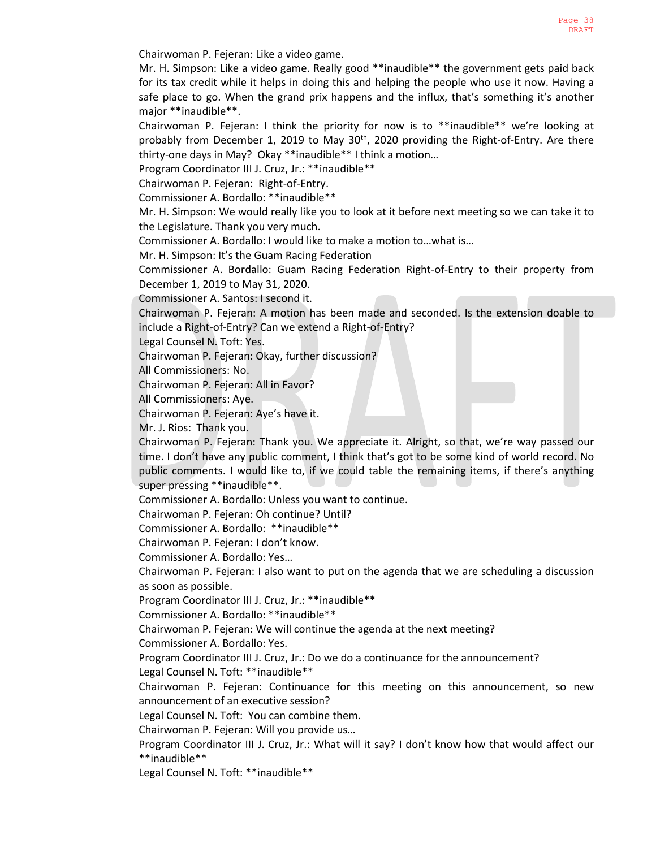Chairwoman P. Fejeran: Like a video game.

Mr. H. Simpson: Like a video game. Really good \*\*inaudible\*\* the government gets paid back for its tax credit while it helps in doing this and helping the people who use it now. Having a safe place to go. When the grand prix happens and the influx, that's something it's another major \*\*inaudible\*\*.

Chairwoman P. Fejeran: I think the priority for now is to \*\*inaudible\*\* we're looking at probably from December 1, 2019 to May 30<sup>th</sup>, 2020 providing the Right-of-Entry. Are there thirty-one days in May? Okay \*\*inaudible\*\* I think a motion…

Program Coordinator III J. Cruz, Jr.: \*\*inaudible\*\*

Chairwoman P. Fejeran: Right-of-Entry.

Commissioner A. Bordallo: \*\*inaudible\*\*

Mr. H. Simpson: We would really like you to look at it before next meeting so we can take it to the Legislature. Thank you very much.

Commissioner A. Bordallo: I would like to make a motion to…what is…

Mr. H. Simpson: It's the Guam Racing Federation

Commissioner A. Bordallo: Guam Racing Federation Right-of-Entry to their property from December 1, 2019 to May 31, 2020.

Commissioner A. Santos: I second it.

Chairwoman P. Fejeran: A motion has been made and seconded. Is the extension doable to include a Right-of-Entry? Can we extend a Right-of-Entry?

Legal Counsel N. Toft: Yes.

Chairwoman P. Fejeran: Okay, further discussion?

All Commissioners: No.

Chairwoman P. Fejeran: All in Favor?

All Commissioners: Aye.

Chairwoman P. Fejeran: Aye's have it.

Mr. J. Rios: Thank you.

Chairwoman P. Fejeran: Thank you. We appreciate it. Alright, so that, we're way passed our time. I don't have any public comment, I think that's got to be some kind of world record. No public comments. I would like to, if we could table the remaining items, if there's anything super pressing \*\*inaudible\*\*.

Commissioner A. Bordallo: Unless you want to continue.

Chairwoman P. Fejeran: Oh continue? Until?

Commissioner A. Bordallo: \*\*inaudible\*\*

Chairwoman P. Fejeran: I don't know.

Commissioner A. Bordallo: Yes…

Chairwoman P. Fejeran: I also want to put on the agenda that we are scheduling a discussion as soon as possible.

Program Coordinator III J. Cruz, Jr.: \*\*inaudible\*\*

Commissioner A. Bordallo: \*\*inaudible\*\*

Chairwoman P. Fejeran: We will continue the agenda at the next meeting?

Commissioner A. Bordallo: Yes.

Program Coordinator III J. Cruz, Jr.: Do we do a continuance for the announcement?

Legal Counsel N. Toft: \*\*inaudible\*\*

Chairwoman P. Fejeran: Continuance for this meeting on this announcement, so new announcement of an executive session?

Legal Counsel N. Toft: You can combine them.

Chairwoman P. Fejeran: Will you provide us…

Program Coordinator III J. Cruz, Jr.: What will it say? I don't know how that would affect our \*\*inaudible\*\*

Legal Counsel N. Toft: \*\*inaudible\*\*